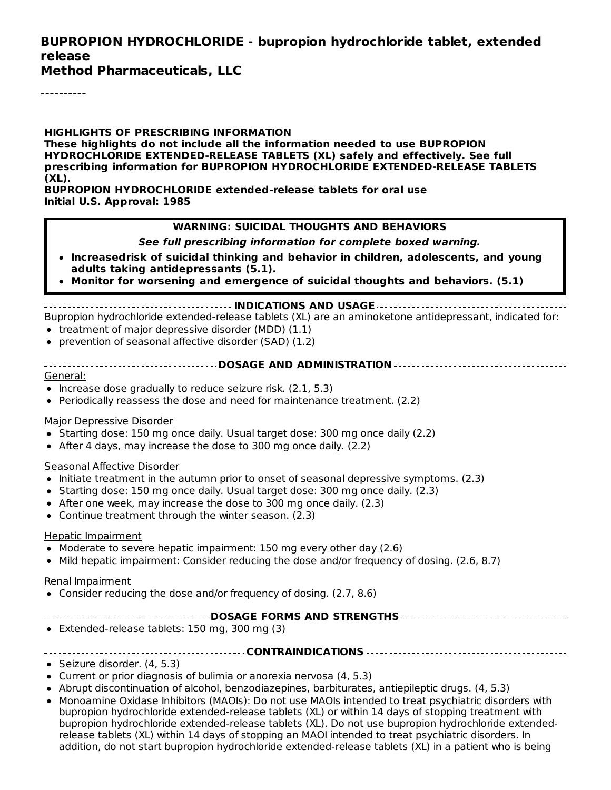#### **BUPROPION HYDROCHLORIDE - bupropion hydrochloride tablet, extended release**

**Method Pharmaceuticals, LLC**

----------

**HIGHLIGHTS OF PRESCRIBING INFORMATION These highlights do not include all the information needed to use BUPROPION HYDROCHLORIDE EXTENDED-RELEASE TABLETS (XL) safely and effectively. See full prescribing information for BUPROPION HYDROCHLORIDE EXTENDED-RELEASE TABLETS (XL).**

**BUPROPION HYDROCHLORIDE extended-release tablets for oral use Initial U.S. Approval: 1985**

#### **WARNING: SUICIDAL THOUGHTS AND BEHAVIORS**

**See full prescribing information for complete boxed warning.**

- **Increasedrisk of suicidal thinking and behavior in children, adolescents, and young adults taking antidepressants (5.1).**
- **Monitor for worsening and emergence of suicidal thoughts and behaviors. (5.1)**

#### **INDICATIONS AND USAGE**

Bupropion hydrochloride extended-release tablets (XL) are an aminoketone antidepressant, indicated for:  $\bullet$  treatment of major depressive disorder (MDD) (1.1)

- prevention of seasonal affective disorder (SAD) (1.2)
- **DOSAGE AND ADMINISTRATION**

#### General:

- $\bullet$  Increase dose gradually to reduce seizure risk. (2.1, 5.3)
- Periodically reassess the dose and need for maintenance treatment. (2.2)

#### Major Depressive Disorder

- Starting dose: 150 mg once daily. Usual target dose: 300 mg once daily (2.2)
- After 4 days, may increase the dose to 300 mg once daily. (2.2)

#### Seasonal Affective Disorder

- Initiate treatment in the autumn prior to onset of seasonal depressive symptoms. (2.3)
- Starting dose: 150 mg once daily. Usual target dose: 300 mg once daily. (2.3)
- After one week, may increase the dose to 300 mg once daily. (2.3)
- Continue treatment through the winter season. (2.3)

#### Hepatic Impairment

- Moderate to severe hepatic impairment: 150 mg every other day (2.6)
- Mild hepatic impairment: Consider reducing the dose and/or frequency of dosing. (2.6, 8.7)

#### Renal Impairment

- Consider reducing the dose and/or frequency of dosing. (2.7, 8.6)
- **DOSAGE FORMS AND STRENGTHS**
- Extended-release tablets: 150 mg, 300 mg (3)

**CONTRAINDICATIONS**

- Seizure disorder. (4, 5.3)
- Current or prior diagnosis of bulimia or anorexia nervosa (4, 5.3)
- Abrupt discontinuation of alcohol, benzodiazepines, barbiturates, antiepileptic drugs. (4, 5.3)
- Monoamine Oxidase Inhibitors (MAOIs): Do not use MAOIs intended to treat psychiatric disorders with bupropion hydrochloride extended-release tablets (XL) or within 14 days of stopping treatment with bupropion hydrochloride extended-release tablets (XL). Do not use bupropion hydrochloride extendedrelease tablets (XL) within 14 days of stopping an MAOI intended to treat psychiatric disorders. In addition, do not start bupropion hydrochloride extended-release tablets (XL) in a patient who is being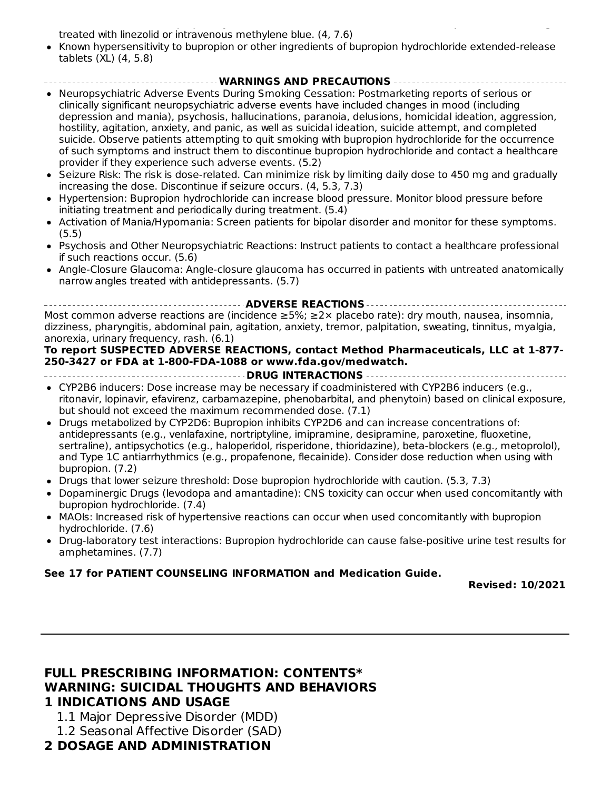addition, do not start bupropion hydrochloride extended-release tablets (XL) in a patient who is being treated with linezolid or intravenous methylene blue. (4, 7.6)

- Known hypersensitivity to bupropion or other ingredients of bupropion hydrochloride extended-release tablets (XL) (4, 5.8)
- **WARNINGS AND PRECAUTIONS**
- Neuropsychiatric Adverse Events During Smoking Cessation: Postmarketing reports of serious or clinically significant neuropsychiatric adverse events have included changes in mood (including depression and mania), psychosis, hallucinations, paranoia, delusions, homicidal ideation, aggression, hostility, agitation, anxiety, and panic, as well as suicidal ideation, suicide attempt, and completed suicide. Observe patients attempting to quit smoking with bupropion hydrochloride for the occurrence of such symptoms and instruct them to discontinue bupropion hydrochloride and contact a healthcare provider if they experience such adverse events. (5.2)
- Seizure Risk: The risk is dose-related. Can minimize risk by limiting daily dose to 450 mg and gradually increasing the dose. Discontinue if seizure occurs. (4, 5.3, 7.3)
- Hypertension: Bupropion hydrochloride can increase blood pressure. Monitor blood pressure before initiating treatment and periodically during treatment. (5.4)
- Activation of Mania/Hypomania: Screen patients for bipolar disorder and monitor for these symptoms.  $\bullet$ (5.5)
- Psychosis and Other Neuropsychiatric Reactions: Instruct patients to contact a healthcare professional if such reactions occur. (5.6)
- Angle-Closure Glaucoma: Angle-closure glaucoma has occurred in patients with untreated anatomically  $\bullet$ narrow angles treated with antidepressants. (5.7)

**ADVERSE REACTIONS**

Most common adverse reactions are (incidence ≥5%; ≥2× placebo rate): dry mouth, nausea, insomnia, dizziness, pharyngitis, abdominal pain, agitation, anxiety, tremor, palpitation, sweating, tinnitus, myalgia, anorexia, urinary frequency, rash. (6.1)

#### **To report SUSPECTED ADVERSE REACTIONS, contact Method Pharmaceuticals, LLC at 1-877- 250-3427 or FDA at 1-800-FDA-1088 or www.fda.gov/medwatch.**

- **DRUG INTERACTIONS**
- CYP2B6 inducers: Dose increase may be necessary if coadministered with CYP2B6 inducers (e.g., ritonavir, lopinavir, efavirenz, carbamazepine, phenobarbital, and phenytoin) based on clinical exposure, but should not exceed the maximum recommended dose. (7.1)
- Drugs metabolized by CYP2D6: Bupropion inhibits CYP2D6 and can increase concentrations of: antidepressants (e.g., venlafaxine, nortriptyline, imipramine, desipramine, paroxetine, fluoxetine, sertraline), antipsychotics (e.g., haloperidol, risperidone, thioridazine), beta-blockers (e.g., metoprolol), and Type 1C antiarrhythmics (e.g., propafenone, flecainide). Consider dose reduction when using with bupropion. (7.2)
- Drugs that lower seizure threshold: Dose bupropion hydrochloride with caution. (5.3, 7.3)
- Dopaminergic Drugs (levodopa and amantadine): CNS toxicity can occur when used concomitantly with bupropion hydrochloride. (7.4)
- MAOIs: Increased risk of hypertensive reactions can occur when used concomitantly with bupropion hydrochloride. (7.6)
- Drug-laboratory test interactions: Bupropion hydrochloride can cause false-positive urine test results for amphetamines. (7.7)

#### **See 17 for PATIENT COUNSELING INFORMATION and Medication Guide.**

**Revised: 10/2021**

#### **FULL PRESCRIBING INFORMATION: CONTENTS\* WARNING: SUICIDAL THOUGHTS AND BEHAVIORS 1 INDICATIONS AND USAGE**

- 1.1 Major Depressive Disorder (MDD)
- 1.2 Seasonal Affective Disorder (SAD)

## **2 DOSAGE AND ADMINISTRATION**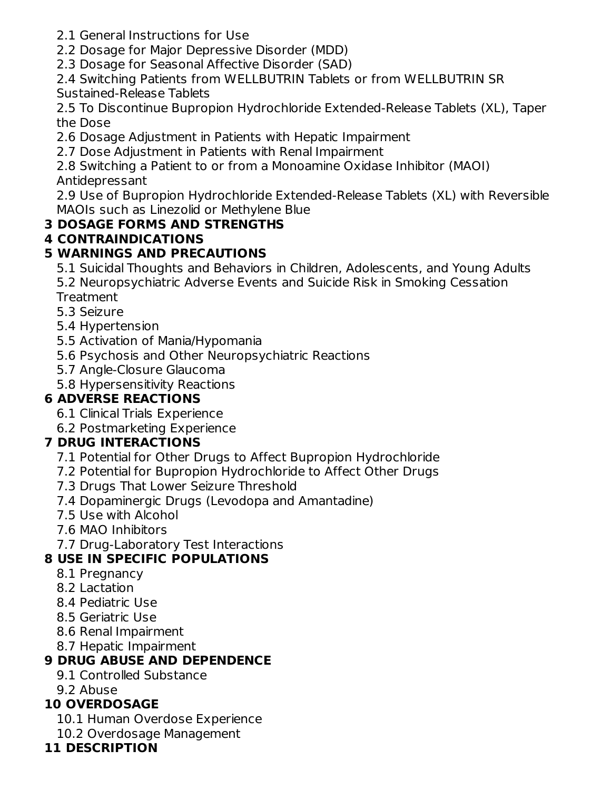- 2.1 General Instructions for Use
- 2.2 Dosage for Major Depressive Disorder (MDD)
- 2.3 Dosage for Seasonal Affective Disorder (SAD)
- 2.4 Switching Patients from WELLBUTRIN Tablets or from WELLBUTRIN SR Sustained-Release Tablets

2.5 To Discontinue Bupropion Hydrochloride Extended-Release Tablets (XL), Taper the Dose

- 2.6 Dosage Adjustment in Patients with Hepatic Impairment
- 2.7 Dose Adjustment in Patients with Renal Impairment

2.8 Switching a Patient to or from a Monoamine Oxidase Inhibitor (MAOI) Antidepressant

2.9 Use of Bupropion Hydrochloride Extended-Release Tablets (XL) with Reversible MAOIs such as Linezolid or Methylene Blue

# **3 DOSAGE FORMS AND STRENGTHS**

# **4 CONTRAINDICATIONS**

# **5 WARNINGS AND PRECAUTIONS**

5.1 Suicidal Thoughts and Behaviors in Children, Adolescents, and Young Adults

5.2 Neuropsychiatric Adverse Events and Suicide Risk in Smoking Cessation **Treatment** 

5.3 Seizure

- 5.4 Hypertension
- 5.5 Activation of Mania/Hypomania
- 5.6 Psychosis and Other Neuropsychiatric Reactions
- 5.7 Angle-Closure Glaucoma
- 5.8 Hypersensitivity Reactions

# **6 ADVERSE REACTIONS**

- 6.1 Clinical Trials Experience
- 6.2 Postmarketing Experience

# **7 DRUG INTERACTIONS**

- 7.1 Potential for Other Drugs to Affect Bupropion Hydrochloride
- 7.2 Potential for Bupropion Hydrochloride to Affect Other Drugs
- 7.3 Drugs That Lower Seizure Threshold
- 7.4 Dopaminergic Drugs (Levodopa and Amantadine)
- 7.5 Use with Alcohol
- 7.6 MAO Inhibitors
- 7.7 Drug-Laboratory Test Interactions

# **8 USE IN SPECIFIC POPULATIONS**

- 8.1 Pregnancy
- 8.2 Lactation
- 8.4 Pediatric Use
- 8.5 Geriatric Use
- 8.6 Renal Impairment
- 8.7 Hepatic Impairment

## **9 DRUG ABUSE AND DEPENDENCE**

- 9.1 Controlled Substance
- 9.2 Abuse

# **10 OVERDOSAGE**

- 10.1 Human Overdose Experience
- 10.2 Overdosage Management

## **11 DESCRIPTION**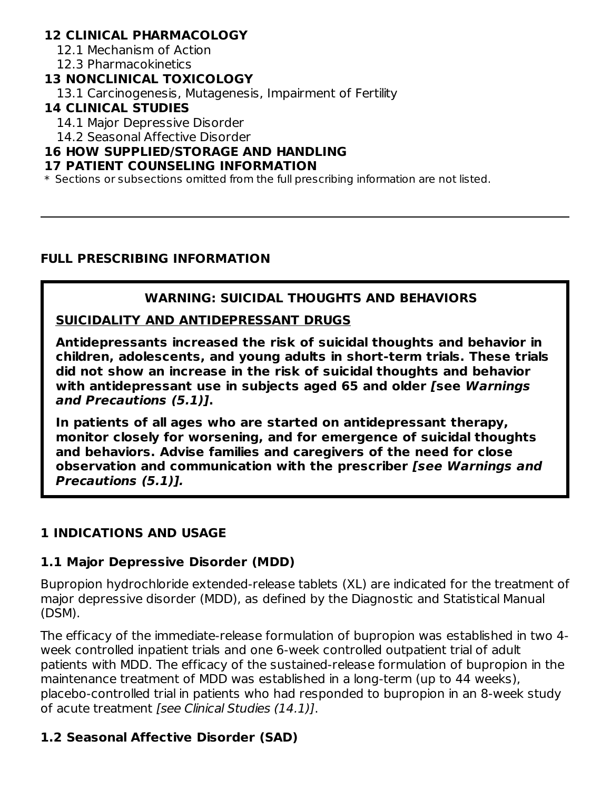### **12 CLINICAL PHARMACOLOGY**

12.1 Mechanism of Action

12.3 Pharmacokinetics

#### **13 NONCLINICAL TOXICOLOGY**

13.1 Carcinogenesis, Mutagenesis, Impairment of Fertility

#### **14 CLINICAL STUDIES**

14.1 Major Depressive Disorder

14.2 Seasonal Affective Disorder

#### **16 HOW SUPPLIED/STORAGE AND HANDLING**

#### **17 PATIENT COUNSELING INFORMATION**

 $\ast$  Sections or subsections omitted from the full prescribing information are not listed.

### **FULL PRESCRIBING INFORMATION**

### **WARNING: SUICIDAL THOUGHTS AND BEHAVIORS**

### **SUICIDALITY AND ANTIDEPRESSANT DRUGS**

**Antidepressants increased the risk of suicidal thoughts and behavior in children, adolescents, and young adults in short-term trials. These trials did not show an increase in the risk of suicidal thoughts and behavior with antidepressant use in subjects aged 65 and older [see Warnings and Precautions (5.1)].**

**In patients of all ages who are started on antidepressant therapy, monitor closely for worsening, and for emergence of suicidal thoughts and behaviors. Advise families and caregivers of the need for close observation and communication with the prescriber [see Warnings and Precautions (5.1)].**

### **1 INDICATIONS AND USAGE**

### **1.1 Major Depressive Disorder (MDD)**

Bupropion hydrochloride extended-release tablets (XL) are indicated for the treatment of major depressive disorder (MDD), as defined by the Diagnostic and Statistical Manual (DSM).

The efficacy of the immediate-release formulation of bupropion was established in two 4 week controlled inpatient trials and one 6-week controlled outpatient trial of adult patients with MDD. The efficacy of the sustained-release formulation of bupropion in the maintenance treatment of MDD was established in a long-term (up to 44 weeks), placebo-controlled trial in patients who had responded to bupropion in an 8-week study of acute treatment [see Clinical Studies (14.1)].

## **1.2 Seasonal Affective Disorder (SAD)**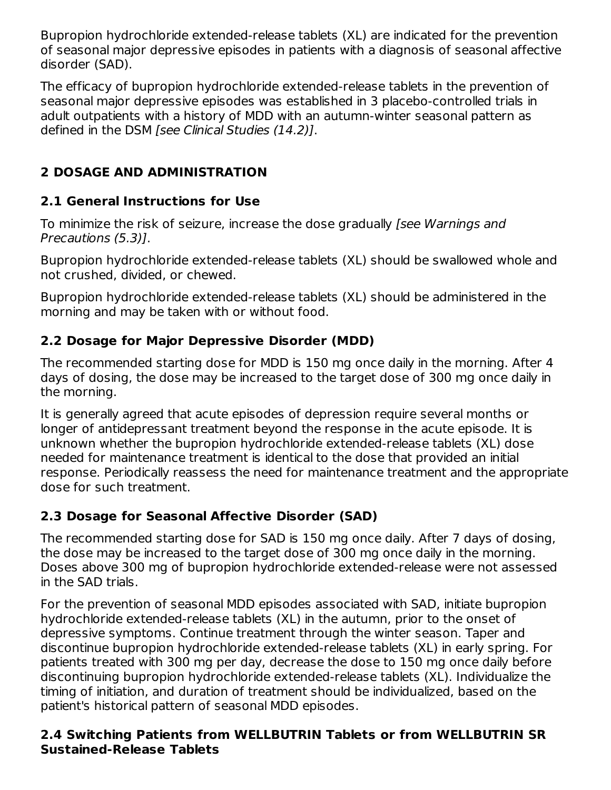Bupropion hydrochloride extended-release tablets (XL) are indicated for the prevention of seasonal major depressive episodes in patients with a diagnosis of seasonal affective disorder (SAD).

The efficacy of bupropion hydrochloride extended-release tablets in the prevention of seasonal major depressive episodes was established in 3 placebo-controlled trials in adult outpatients with a history of MDD with an autumn-winter seasonal pattern as defined in the DSM [see Clinical Studies (14.2)].

# **2 DOSAGE AND ADMINISTRATION**

# **2.1 General Instructions for Use**

To minimize the risk of seizure, increase the dose gradually *[see Warnings and* Precautions (5.3)].

Bupropion hydrochloride extended-release tablets (XL) should be swallowed whole and not crushed, divided, or chewed.

Bupropion hydrochloride extended-release tablets (XL) should be administered in the morning and may be taken with or without food.

# **2.2 Dosage for Major Depressive Disorder (MDD)**

The recommended starting dose for MDD is 150 mg once daily in the morning. After 4 days of dosing, the dose may be increased to the target dose of 300 mg once daily in the morning.

It is generally agreed that acute episodes of depression require several months or longer of antidepressant treatment beyond the response in the acute episode. It is unknown whether the bupropion hydrochloride extended-release tablets (XL) dose needed for maintenance treatment is identical to the dose that provided an initial response. Periodically reassess the need for maintenance treatment and the appropriate dose for such treatment.

# **2.3 Dosage for Seasonal Affective Disorder (SAD)**

The recommended starting dose for SAD is 150 mg once daily. After 7 days of dosing, the dose may be increased to the target dose of 300 mg once daily in the morning. Doses above 300 mg of bupropion hydrochloride extended-release were not assessed in the SAD trials.

For the prevention of seasonal MDD episodes associated with SAD, initiate bupropion hydrochloride extended-release tablets (XL) in the autumn, prior to the onset of depressive symptoms. Continue treatment through the winter season. Taper and discontinue bupropion hydrochloride extended-release tablets (XL) in early spring. For patients treated with 300 mg per day, decrease the dose to 150 mg once daily before discontinuing bupropion hydrochloride extended-release tablets (XL). Individualize the timing of initiation, and duration of treatment should be individualized, based on the patient's historical pattern of seasonal MDD episodes.

# **2.4 Switching Patients from WELLBUTRIN Tablets or from WELLBUTRIN SR Sustained-Release Tablets**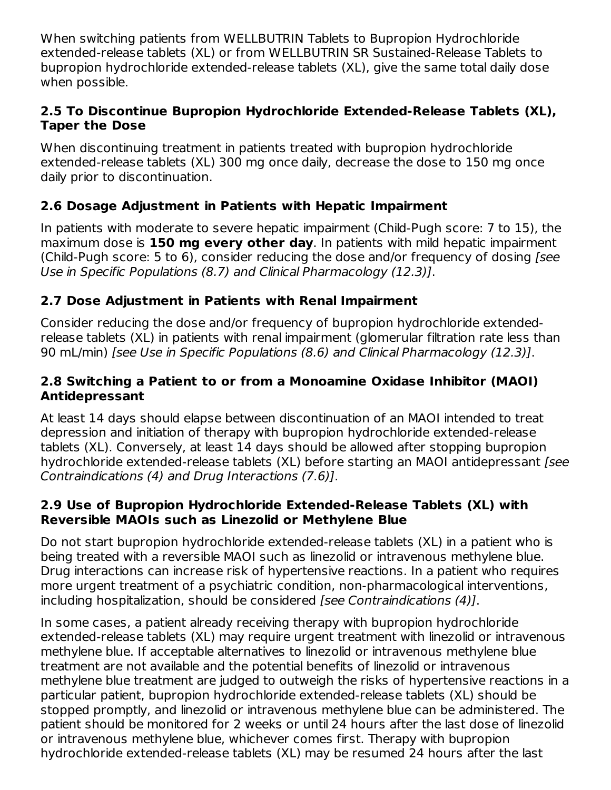When switching patients from WELLBUTRIN Tablets to Bupropion Hydrochloride extended-release tablets (XL) or from WELLBUTRIN SR Sustained-Release Tablets to bupropion hydrochloride extended-release tablets (XL), give the same total daily dose when possible.

## **2.5 To Discontinue Bupropion Hydrochloride Extended-Release Tablets (XL), Taper the Dose**

When discontinuing treatment in patients treated with bupropion hydrochloride extended-release tablets (XL) 300 mg once daily, decrease the dose to 150 mg once daily prior to discontinuation.

# **2.6 Dosage Adjustment in Patients with Hepatic Impairment**

In patients with moderate to severe hepatic impairment (Child-Pugh score: 7 to 15), the maximum dose is **150 mg every other day**. In patients with mild hepatic impairment (Child-Pugh score: 5 to 6), consider reducing the dose and/or frequency of dosing [see Use in Specific Populations (8.7) and Clinical Pharmacology (12.3)].

# **2.7 Dose Adjustment in Patients with Renal Impairment**

Consider reducing the dose and/or frequency of bupropion hydrochloride extendedrelease tablets (XL) in patients with renal impairment (glomerular filtration rate less than 90 mL/min) [see Use in Specific Populations (8.6) and Clinical Pharmacology (12.3)].

## **2.8 Switching a Patient to or from a Monoamine Oxidase Inhibitor (MAOI) Antidepressant**

At least 14 days should elapse between discontinuation of an MAOI intended to treat depression and initiation of therapy with bupropion hydrochloride extended-release tablets (XL). Conversely, at least 14 days should be allowed after stopping bupropion hydrochloride extended-release tablets (XL) before starting an MAOI antidepressant [see Contraindications (4) and Drug Interactions (7.6)].

### **2.9 Use of Bupropion Hydrochloride Extended-Release Tablets (XL) with Reversible MAOIs such as Linezolid or Methylene Blue**

Do not start bupropion hydrochloride extended-release tablets (XL) in a patient who is being treated with a reversible MAOI such as linezolid or intravenous methylene blue. Drug interactions can increase risk of hypertensive reactions. In a patient who requires more urgent treatment of a psychiatric condition, non-pharmacological interventions, including hospitalization, should be considered [see Contraindications (4)].

In some cases, a patient already receiving therapy with bupropion hydrochloride extended-release tablets (XL) may require urgent treatment with linezolid or intravenous methylene blue. If acceptable alternatives to linezolid or intravenous methylene blue treatment are not available and the potential benefits of linezolid or intravenous methylene blue treatment are judged to outweigh the risks of hypertensive reactions in a particular patient, bupropion hydrochloride extended-release tablets (XL) should be stopped promptly, and linezolid or intravenous methylene blue can be administered. The patient should be monitored for 2 weeks or until 24 hours after the last dose of linezolid or intravenous methylene blue, whichever comes first. Therapy with bupropion hydrochloride extended-release tablets (XL) may be resumed 24 hours after the last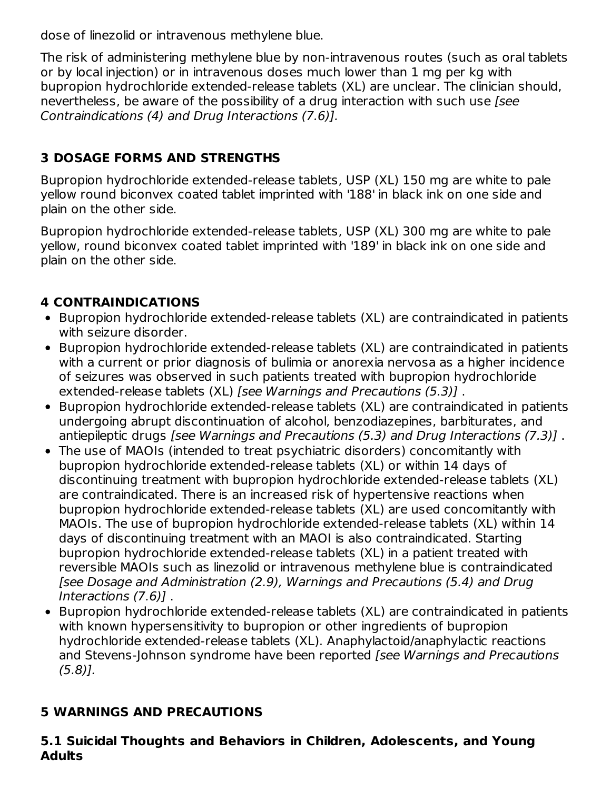dose of linezolid or intravenous methylene blue.

The risk of administering methylene blue by non-intravenous routes (such as oral tablets or by local injection) or in intravenous doses much lower than 1 mg per kg with bupropion hydrochloride extended-release tablets (XL) are unclear. The clinician should, nevertheless, be aware of the possibility of a drug interaction with such use [see Contraindications (4) and Drug Interactions (7.6)].

# **3 DOSAGE FORMS AND STRENGTHS**

Bupropion hydrochloride extended-release tablets, USP (XL) 150 mg are white to pale yellow round biconvex coated tablet imprinted with '188' in black ink on one side and plain on the other side.

Bupropion hydrochloride extended-release tablets, USP (XL) 300 mg are white to pale yellow, round biconvex coated tablet imprinted with '189' in black ink on one side and plain on the other side.

# **4 CONTRAINDICATIONS**

- Bupropion hydrochloride extended-release tablets (XL) are contraindicated in patients with seizure disorder.
- Bupropion hydrochloride extended-release tablets (XL) are contraindicated in patients with a current or prior diagnosis of bulimia or anorexia nervosa as a higher incidence of seizures was observed in such patients treated with bupropion hydrochloride extended-release tablets (XL) [see Warnings and Precautions (5.3)].
- Bupropion hydrochloride extended-release tablets (XL) are contraindicated in patients undergoing abrupt discontinuation of alcohol, benzodiazepines, barbiturates, and antiepileptic drugs [see Warnings and Precautions (5.3) and Drug Interactions (7.3)] .
- The use of MAOIs (intended to treat psychiatric disorders) concomitantly with bupropion hydrochloride extended-release tablets (XL) or within 14 days of discontinuing treatment with bupropion hydrochloride extended-release tablets (XL) are contraindicated. There is an increased risk of hypertensive reactions when bupropion hydrochloride extended-release tablets (XL) are used concomitantly with MAOIs. The use of bupropion hydrochloride extended-release tablets (XL) within 14 days of discontinuing treatment with an MAOI is also contraindicated. Starting bupropion hydrochloride extended-release tablets (XL) in a patient treated with reversible MAOIs such as linezolid or intravenous methylene blue is contraindicated [see Dosage and Administration (2.9), Warnings and Precautions (5.4) and Drug Interactions (7.6)] .
- Bupropion hydrochloride extended-release tablets (XL) are contraindicated in patients with known hypersensitivity to bupropion or other ingredients of bupropion hydrochloride extended-release tablets (XL). Anaphylactoid/anaphylactic reactions and Stevens-Johnson syndrome have been reported [see Warnings and Precautions (5.8)].

# **5 WARNINGS AND PRECAUTIONS**

## **5.1 Suicidal Thoughts and Behaviors in Children, Adolescents, and Young Adults**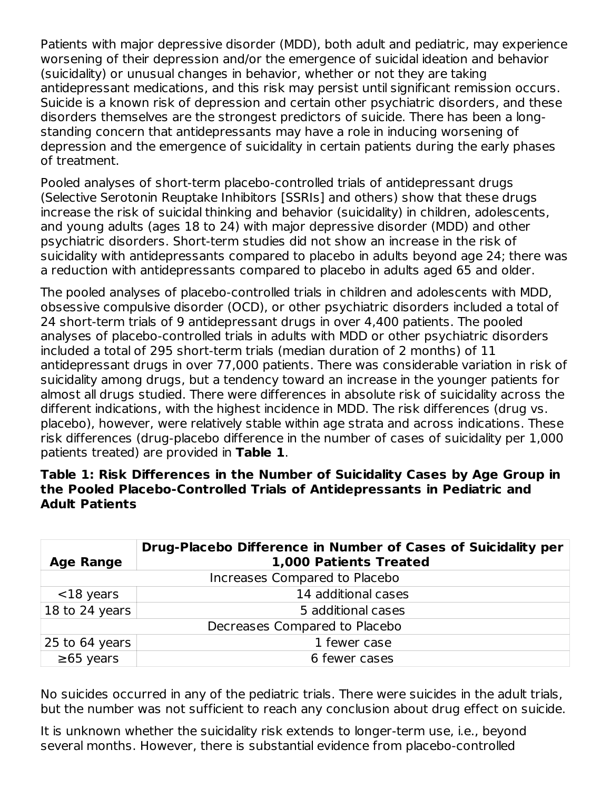Patients with major depressive disorder (MDD), both adult and pediatric, may experience worsening of their depression and/or the emergence of suicidal ideation and behavior (suicidality) or unusual changes in behavior, whether or not they are taking antidepressant medications, and this risk may persist until significant remission occurs. Suicide is a known risk of depression and certain other psychiatric disorders, and these disorders themselves are the strongest predictors of suicide. There has been a longstanding concern that antidepressants may have a role in inducing worsening of depression and the emergence of suicidality in certain patients during the early phases of treatment.

Pooled analyses of short-term placebo-controlled trials of antidepressant drugs (Selective Serotonin Reuptake Inhibitors [SSRIs] and others) show that these drugs increase the risk of suicidal thinking and behavior (suicidality) in children, adolescents, and young adults (ages 18 to 24) with major depressive disorder (MDD) and other psychiatric disorders. Short-term studies did not show an increase in the risk of suicidality with antidepressants compared to placebo in adults beyond age 24; there was a reduction with antidepressants compared to placebo in adults aged 65 and older.

The pooled analyses of placebo-controlled trials in children and adolescents with MDD, obsessive compulsive disorder (OCD), or other psychiatric disorders included a total of 24 short-term trials of 9 antidepressant drugs in over 4,400 patients. The pooled analyses of placebo-controlled trials in adults with MDD or other psychiatric disorders included a total of 295 short-term trials (median duration of 2 months) of 11 antidepressant drugs in over 77,000 patients. There was considerable variation in risk of suicidality among drugs, but a tendency toward an increase in the younger patients for almost all drugs studied. There were differences in absolute risk of suicidality across the different indications, with the highest incidence in MDD. The risk differences (drug vs. placebo), however, were relatively stable within age strata and across indications. These risk differences (drug-placebo difference in the number of cases of suicidality per 1,000 patients treated) are provided in **Table 1**.

#### **Table 1: Risk Differences in the Number of Suicidality Cases by Age Group in the Pooled Placebo-Controlled Trials of Antidepressants in Pediatric and Adult Patients**

| <b>Age Range</b> | Drug-Placebo Difference in Number of Cases of Suicidality per<br>1,000 Patients Treated |
|------------------|-----------------------------------------------------------------------------------------|
|                  | Increases Compared to Placebo                                                           |
| $<$ 18 years     | 14 additional cases                                                                     |
| 18 to 24 years   | 5 additional cases                                                                      |
|                  | Decreases Compared to Placebo                                                           |
| $25$ to 64 years | 1 fewer case                                                                            |
| $\geq 65$ years  | 6 fewer cases                                                                           |

No suicides occurred in any of the pediatric trials. There were suicides in the adult trials, but the number was not sufficient to reach any conclusion about drug effect on suicide.

It is unknown whether the suicidality risk extends to longer-term use, i.e., beyond several months. However, there is substantial evidence from placebo-controlled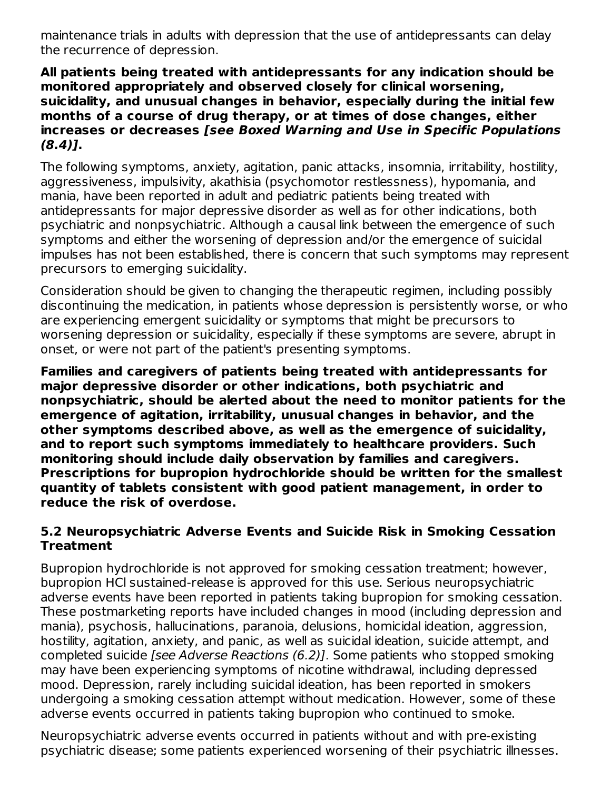maintenance trials in adults with depression that the use of antidepressants can delay the recurrence of depression.

#### **All patients being treated with antidepressants for any indication should be monitored appropriately and observed closely for clinical worsening, suicidality, and unusual changes in behavior, especially during the initial few months of a course of drug therapy, or at times of dose changes, either increases or decreases [see Boxed Warning and Use in Specific Populations (8.4)].**

The following symptoms, anxiety, agitation, panic attacks, insomnia, irritability, hostility, aggressiveness, impulsivity, akathisia (psychomotor restlessness), hypomania, and mania, have been reported in adult and pediatric patients being treated with antidepressants for major depressive disorder as well as for other indications, both psychiatric and nonpsychiatric. Although a causal link between the emergence of such symptoms and either the worsening of depression and/or the emergence of suicidal impulses has not been established, there is concern that such symptoms may represent precursors to emerging suicidality.

Consideration should be given to changing the therapeutic regimen, including possibly discontinuing the medication, in patients whose depression is persistently worse, or who are experiencing emergent suicidality or symptoms that might be precursors to worsening depression or suicidality, especially if these symptoms are severe, abrupt in onset, or were not part of the patient's presenting symptoms.

**Families and caregivers of patients being treated with antidepressants for major depressive disorder or other indications, both psychiatric and nonpsychiatric, should be alerted about the need to monitor patients for the emergence of agitation, irritability, unusual changes in behavior, and the other symptoms described above, as well as the emergence of suicidality, and to report such symptoms immediately to healthcare providers. Such monitoring should include daily observation by families and caregivers. Prescriptions for bupropion hydrochloride should be written for the smallest quantity of tablets consistent with good patient management, in order to reduce the risk of overdose.**

### **5.2 Neuropsychiatric Adverse Events and Suicide Risk in Smoking Cessation Treatment**

Bupropion hydrochloride is not approved for smoking cessation treatment; however, bupropion HCl sustained-release is approved for this use. Serious neuropsychiatric adverse events have been reported in patients taking bupropion for smoking cessation. These postmarketing reports have included changes in mood (including depression and mania), psychosis, hallucinations, paranoia, delusions, homicidal ideation, aggression, hostility, agitation, anxiety, and panic, as well as suicidal ideation, suicide attempt, and completed suicide [see Adverse Reactions (6.2)]. Some patients who stopped smoking may have been experiencing symptoms of nicotine withdrawal, including depressed mood. Depression, rarely including suicidal ideation, has been reported in smokers undergoing a smoking cessation attempt without medication. However, some of these adverse events occurred in patients taking bupropion who continued to smoke.

Neuropsychiatric adverse events occurred in patients without and with pre-existing psychiatric disease; some patients experienced worsening of their psychiatric illnesses.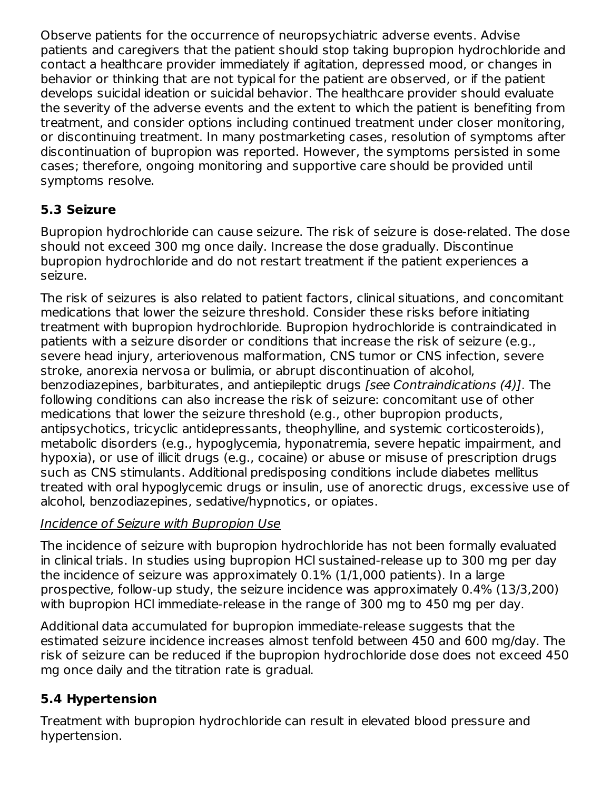Observe patients for the occurrence of neuropsychiatric adverse events. Advise patients and caregivers that the patient should stop taking bupropion hydrochloride and contact a healthcare provider immediately if agitation, depressed mood, or changes in behavior or thinking that are not typical for the patient are observed, or if the patient develops suicidal ideation or suicidal behavior. The healthcare provider should evaluate the severity of the adverse events and the extent to which the patient is benefiting from treatment, and consider options including continued treatment under closer monitoring, or discontinuing treatment. In many postmarketing cases, resolution of symptoms after discontinuation of bupropion was reported. However, the symptoms persisted in some cases; therefore, ongoing monitoring and supportive care should be provided until symptoms resolve.

# **5.3 Seizure**

Bupropion hydrochloride can cause seizure. The risk of seizure is dose-related. The dose should not exceed 300 mg once daily. Increase the dose gradually. Discontinue bupropion hydrochloride and do not restart treatment if the patient experiences a seizure.

The risk of seizures is also related to patient factors, clinical situations, and concomitant medications that lower the seizure threshold. Consider these risks before initiating treatment with bupropion hydrochloride. Bupropion hydrochloride is contraindicated in patients with a seizure disorder or conditions that increase the risk of seizure (e.g., severe head injury, arteriovenous malformation, CNS tumor or CNS infection, severe stroke, anorexia nervosa or bulimia, or abrupt discontinuation of alcohol, benzodiazepines, barbiturates, and antiepileptic drugs [see Contraindications (4)]. The following conditions can also increase the risk of seizure: concomitant use of other medications that lower the seizure threshold (e.g., other bupropion products, antipsychotics, tricyclic antidepressants, theophylline, and systemic corticosteroids), metabolic disorders (e.g., hypoglycemia, hyponatremia, severe hepatic impairment, and hypoxia), or use of illicit drugs (e.g., cocaine) or abuse or misuse of prescription drugs such as CNS stimulants. Additional predisposing conditions include diabetes mellitus treated with oral hypoglycemic drugs or insulin, use of anorectic drugs, excessive use of alcohol, benzodiazepines, sedative/hypnotics, or opiates.

## Incidence of Seizure with Bupropion Use

The incidence of seizure with bupropion hydrochloride has not been formally evaluated in clinical trials. In studies using bupropion HCl sustained-release up to 300 mg per day the incidence of seizure was approximately 0.1% (1/1,000 patients). In a large prospective, follow-up study, the seizure incidence was approximately 0.4% (13/3,200) with bupropion HCl immediate-release in the range of 300 mg to 450 mg per day.

Additional data accumulated for bupropion immediate-release suggests that the estimated seizure incidence increases almost tenfold between 450 and 600 mg/day. The risk of seizure can be reduced if the bupropion hydrochloride dose does not exceed 450 mg once daily and the titration rate is gradual.

# **5.4 Hypertension**

Treatment with bupropion hydrochloride can result in elevated blood pressure and hypertension.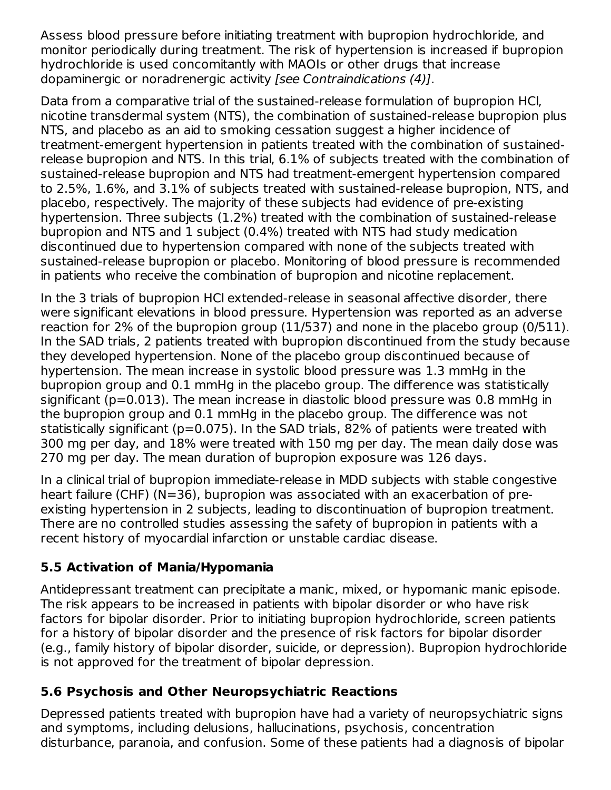Assess blood pressure before initiating treatment with bupropion hydrochloride, and monitor periodically during treatment. The risk of hypertension is increased if bupropion hydrochloride is used concomitantly with MAOIs or other drugs that increase dopaminergic or noradrenergic activity [see Contraindications (4)].

Data from a comparative trial of the sustained-release formulation of bupropion HCl, nicotine transdermal system (NTS), the combination of sustained-release bupropion plus NTS, and placebo as an aid to smoking cessation suggest a higher incidence of treatment-emergent hypertension in patients treated with the combination of sustainedrelease bupropion and NTS. In this trial, 6.1% of subjects treated with the combination of sustained-release bupropion and NTS had treatment-emergent hypertension compared to 2.5%, 1.6%, and 3.1% of subjects treated with sustained-release bupropion, NTS, and placebo, respectively. The majority of these subjects had evidence of pre-existing hypertension. Three subjects (1.2%) treated with the combination of sustained-release bupropion and NTS and 1 subject (0.4%) treated with NTS had study medication discontinued due to hypertension compared with none of the subjects treated with sustained-release bupropion or placebo. Monitoring of blood pressure is recommended in patients who receive the combination of bupropion and nicotine replacement.

In the 3 trials of bupropion HCl extended-release in seasonal affective disorder, there were significant elevations in blood pressure. Hypertension was reported as an adverse reaction for 2% of the bupropion group (11/537) and none in the placebo group (0/511). In the SAD trials, 2 patients treated with bupropion discontinued from the study because they developed hypertension. None of the placebo group discontinued because of hypertension. The mean increase in systolic blood pressure was 1.3 mmHg in the bupropion group and 0.1 mmHg in the placebo group. The difference was statistically significant (p=0.013). The mean increase in diastolic blood pressure was 0.8 mmHg in the bupropion group and 0.1 mmHg in the placebo group. The difference was not statistically significant (p=0.075). In the SAD trials, 82% of patients were treated with 300 mg per day, and 18% were treated with 150 mg per day. The mean daily dose was 270 mg per day. The mean duration of bupropion exposure was 126 days.

In a clinical trial of bupropion immediate-release in MDD subjects with stable congestive heart failure (CHF) (N=36), bupropion was associated with an exacerbation of preexisting hypertension in 2 subjects, leading to discontinuation of bupropion treatment. There are no controlled studies assessing the safety of bupropion in patients with a recent history of myocardial infarction or unstable cardiac disease.

## **5.5 Activation of Mania/Hypomania**

Antidepressant treatment can precipitate a manic, mixed, or hypomanic manic episode. The risk appears to be increased in patients with bipolar disorder or who have risk factors for bipolar disorder. Prior to initiating bupropion hydrochloride, screen patients for a history of bipolar disorder and the presence of risk factors for bipolar disorder (e.g., family history of bipolar disorder, suicide, or depression). Bupropion hydrochloride is not approved for the treatment of bipolar depression.

## **5.6 Psychosis and Other Neuropsychiatric Reactions**

Depressed patients treated with bupropion have had a variety of neuropsychiatric signs and symptoms, including delusions, hallucinations, psychosis, concentration disturbance, paranoia, and confusion. Some of these patients had a diagnosis of bipolar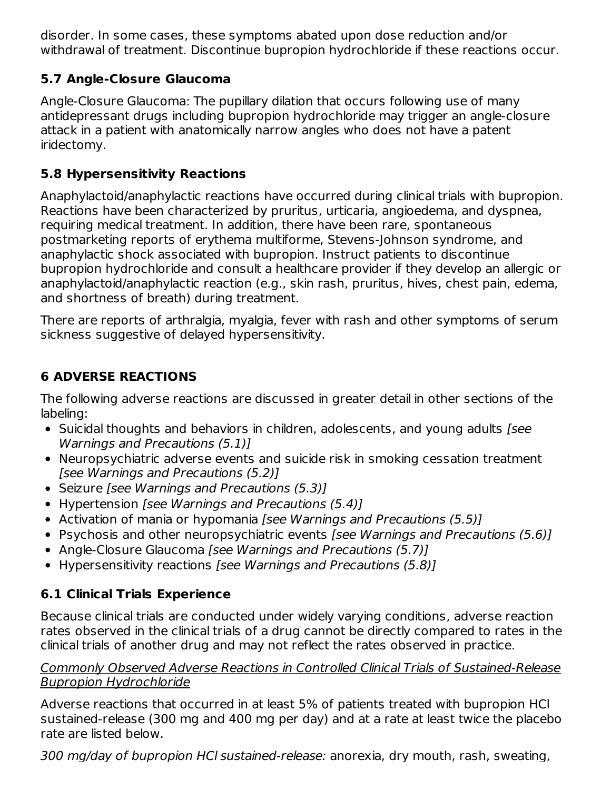disorder. In some cases, these symptoms abated upon dose reduction and/or withdrawal of treatment. Discontinue bupropion hydrochloride if these reactions occur.

# **5.7 Angle-Closure Glaucoma**

Angle-Closure Glaucoma: The pupillary dilation that occurs following use of many antidepressant drugs including bupropion hydrochloride may trigger an angle-closure attack in a patient with anatomically narrow angles who does not have a patent iridectomy.

# **5.8 Hypersensitivity Reactions**

Anaphylactoid/anaphylactic reactions have occurred during clinical trials with bupropion. Reactions have been characterized by pruritus, urticaria, angioedema, and dyspnea, requiring medical treatment. In addition, there have been rare, spontaneous postmarketing reports of erythema multiforme, Stevens-Johnson syndrome, and anaphylactic shock associated with bupropion. Instruct patients to discontinue bupropion hydrochloride and consult a healthcare provider if they develop an allergic or anaphylactoid/anaphylactic reaction (e.g., skin rash, pruritus, hives, chest pain, edema, and shortness of breath) during treatment.

There are reports of arthralgia, myalgia, fever with rash and other symptoms of serum sickness suggestive of delayed hypersensitivity.

# **6 ADVERSE REACTIONS**

The following adverse reactions are discussed in greater detail in other sections of the labeling:

- Suicidal thoughts and behaviors in children, adolescents, and young adults [see Warnings and Precautions (5.1)]
- Neuropsychiatric adverse events and suicide risk in smoking cessation treatment [see Warnings and Precautions (5.2)]
- Seizure [see Warnings and Precautions (5.3)]
- Hypertension [see Warnings and Precautions (5.4)]
- Activation of mania or hypomania [see Warnings and Precautions (5.5)]
- Psychosis and other neuropsychiatric events [see Warnings and Precautions (5.6)]
- Angle-Closure Glaucoma [see Warnings and Precautions (5.7)]
- Hypersensitivity reactions *[see Warnings and Precautions (5.8)]*

# **6.1 Clinical Trials Experience**

Because clinical trials are conducted under widely varying conditions, adverse reaction rates observed in the clinical trials of a drug cannot be directly compared to rates in the clinical trials of another drug and may not reflect the rates observed in practice.

## Commonly Observed Adverse Reactions in Controlled Clinical Trials of Sustained-Release Bupropion Hydrochloride

Adverse reactions that occurred in at least 5% of patients treated with bupropion HCl sustained-release (300 mg and 400 mg per day) and at a rate at least twice the placebo rate are listed below.

300 mg/day of bupropion HCl sustained-release: anorexia, dry mouth, rash, sweating,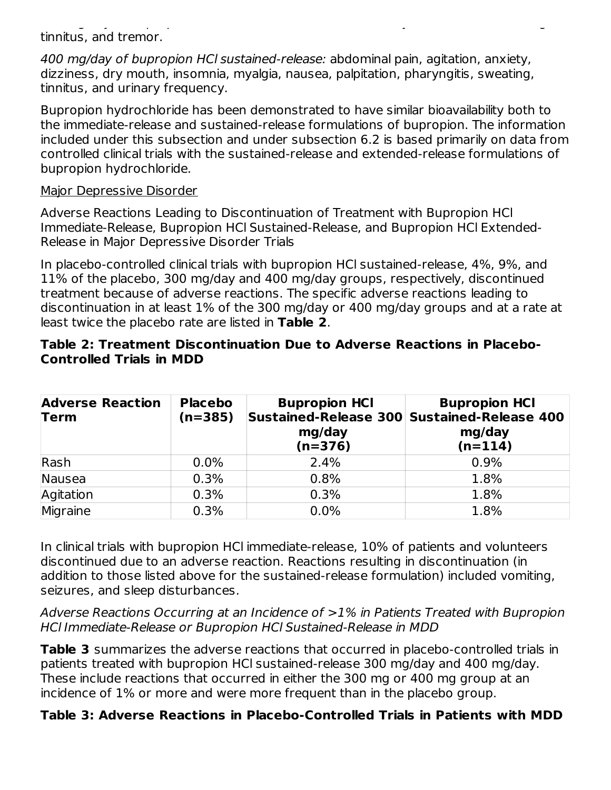300 mg/day of bupropion HCl sustained-release: anorexia, dry mouth, rash, sweating, tinnitus, and tremor.

400 mg/day of bupropion HCl sustained-release: abdominal pain, agitation, anxiety, dizziness, dry mouth, insomnia, myalgia, nausea, palpitation, pharyngitis, sweating, tinnitus, and urinary frequency.

Bupropion hydrochloride has been demonstrated to have similar bioavailability both to the immediate-release and sustained-release formulations of bupropion. The information included under this subsection and under subsection 6.2 is based primarily on data from controlled clinical trials with the sustained-release and extended-release formulations of bupropion hydrochloride.

#### Major Depressive Disorder

Adverse Reactions Leading to Discontinuation of Treatment with Bupropion HCl Immediate-Release, Bupropion HCl Sustained-Release, and Bupropion HCl Extended-Release in Major Depressive Disorder Trials

In placebo-controlled clinical trials with bupropion HCl sustained-release, 4%, 9%, and 11% of the placebo, 300 mg/day and 400 mg/day groups, respectively, discontinued treatment because of adverse reactions. The specific adverse reactions leading to discontinuation in at least 1% of the 300 mg/day or 400 mg/day groups and at a rate at least twice the placebo rate are listed in **Table 2**.

#### **Table 2: Treatment Discontinuation Due to Adverse Reactions in Placebo-Controlled Trials in MDD**

| <b>Adverse Reaction</b><br>Term | <b>Placebo</b><br>$(n=385)$ | <b>Bupropion HCI</b><br>mg/day<br>$(n=376)$ | <b>Bupropion HCI</b><br>Sustained-Release 300 Sustained-Release 400<br>mg/day<br>$(n=114)$ |
|---------------------------------|-----------------------------|---------------------------------------------|--------------------------------------------------------------------------------------------|
| Rash                            | 0.0%                        | 2.4%                                        | 0.9%                                                                                       |
| Nausea                          | 0.3%                        | 0.8%                                        | 1.8%                                                                                       |
| Agitation                       | 0.3%                        | 0.3%                                        | 1.8%                                                                                       |
| Migraine                        | 0.3%                        | 0.0%                                        | 1.8%                                                                                       |

In clinical trials with bupropion HCl immediate-release, 10% of patients and volunteers discontinued due to an adverse reaction. Reactions resulting in discontinuation (in addition to those listed above for the sustained-release formulation) included vomiting, seizures, and sleep disturbances.

Adverse Reactions Occurring at an Incidence of >1% in Patients Treated with Bupropion HCl Immediate-Release or Bupropion HCl Sustained-Release in MDD

**Table 3** summarizes the adverse reactions that occurred in placebo-controlled trials in patients treated with bupropion HCl sustained-release 300 mg/day and 400 mg/day. These include reactions that occurred in either the 300 mg or 400 mg group at an incidence of 1% or more and were more frequent than in the placebo group.

### **Table 3: Adverse Reactions in Placebo-Controlled Trials in Patients with MDD**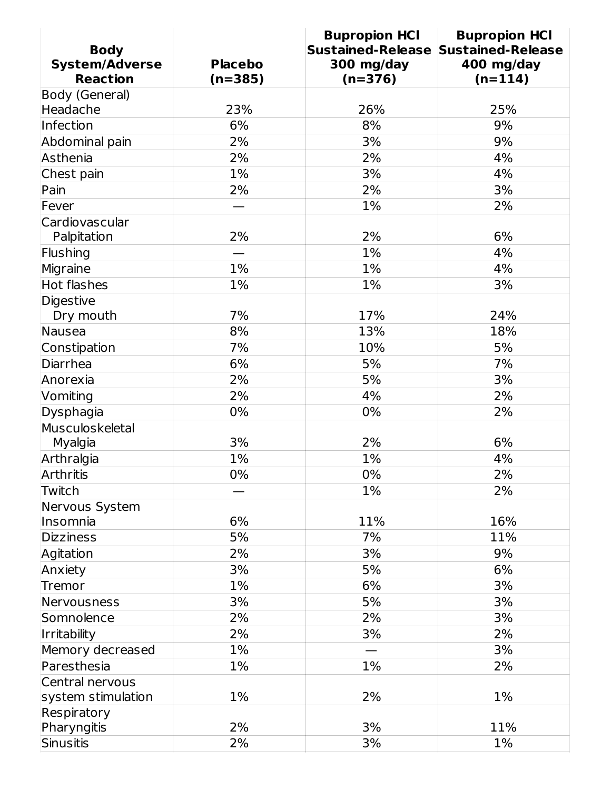| <b>Body</b><br><b>System/Adverse</b><br><b>Reaction</b> | <b>Placebo</b><br>$(n=385)$ | <b>Bupropion HCI</b><br><b>Sustained-Release</b><br>300 mg/day<br>$(n=376)$ | <b>Bupropion HCI</b><br><b>Sustained-Release</b><br>400 mg/day<br>$(n=114)$ |
|---------------------------------------------------------|-----------------------------|-----------------------------------------------------------------------------|-----------------------------------------------------------------------------|
| <b>Body (General)</b>                                   |                             |                                                                             |                                                                             |
| Headache                                                | 23%                         | 26%                                                                         | 25%                                                                         |
| Infection                                               | 6%                          | 8%                                                                          | 9%                                                                          |
| Abdominal pain                                          | 2%                          | 3%                                                                          | 9%                                                                          |
| Asthenia                                                | 2%                          | 2%                                                                          | 4%                                                                          |
| Chest pain                                              | 1%                          | 3%                                                                          | 4%                                                                          |
| Pain                                                    | 2%                          | 2%                                                                          | 3%                                                                          |
| Fever                                                   |                             | 1%                                                                          | 2%                                                                          |
| Cardiovascular<br>Palpitation                           | 2%                          | 2%                                                                          | 6%                                                                          |
| Flushing                                                | $\overline{\phantom{0}}$    | 1%                                                                          | 4%                                                                          |
| Migraine                                                | 1%                          | 1%                                                                          | 4%                                                                          |
| <b>Hot flashes</b>                                      | 1%                          | 1%                                                                          | 3%                                                                          |
| Digestive                                               |                             |                                                                             |                                                                             |
| Dry mouth                                               | 7%                          | 17%                                                                         | 24%                                                                         |
| Nausea                                                  | 8%                          | 13%                                                                         | 18%                                                                         |
| Constipation                                            | 7%                          | 10%                                                                         | 5%                                                                          |
| <b>Diarrhea</b>                                         | 6%                          | 5%                                                                          | 7%                                                                          |
| Anorexia                                                | 2%                          | 5%                                                                          | 3%                                                                          |
| Vomiting                                                | 2%                          | 4%                                                                          | 2%                                                                          |
| Dysphagia                                               | 0%                          | 0%                                                                          | 2%                                                                          |
| Musculoskeletal                                         |                             |                                                                             |                                                                             |
| Myalgia                                                 | 3%                          | 2%                                                                          | 6%                                                                          |
| Arthralgia                                              | 1%                          | 1%                                                                          | 4%                                                                          |
| <b>Arthritis</b>                                        | $0\%$                       | $0\%$                                                                       | 2%                                                                          |
| Twitch                                                  |                             | 1%                                                                          | 2%                                                                          |
| Nervous System                                          |                             |                                                                             |                                                                             |
| Insomnia                                                | 6%                          | 11%                                                                         | 16%                                                                         |
| <b>Dizziness</b>                                        | 5%                          | 7%                                                                          | 11%                                                                         |
| Agitation                                               | 2%                          | 3%                                                                          | 9%                                                                          |
| Anxiety                                                 | 3%                          | 5%                                                                          | 6%                                                                          |
| Tremor                                                  | 1%                          | 6%                                                                          | 3%                                                                          |
| Nervousness                                             | 3%                          | 5%                                                                          | 3%                                                                          |
| Somnolence                                              | 2%                          | 2%                                                                          | 3%                                                                          |
| Irritability                                            | 2%                          | 3%                                                                          | 2%                                                                          |
| Memory decreased                                        | 1%                          |                                                                             | 3%                                                                          |
| Paresthesia                                             | 1%                          | $1\%$                                                                       | 2%                                                                          |
| Central nervous                                         |                             |                                                                             |                                                                             |
| system stimulation                                      | 1%                          | 2%                                                                          | 1%                                                                          |
| Respiratory                                             |                             |                                                                             |                                                                             |
| Pharyngitis                                             | 2%                          | 3%                                                                          | 11%                                                                         |
| Sinusitis                                               | 2%                          | 3%                                                                          | 1%                                                                          |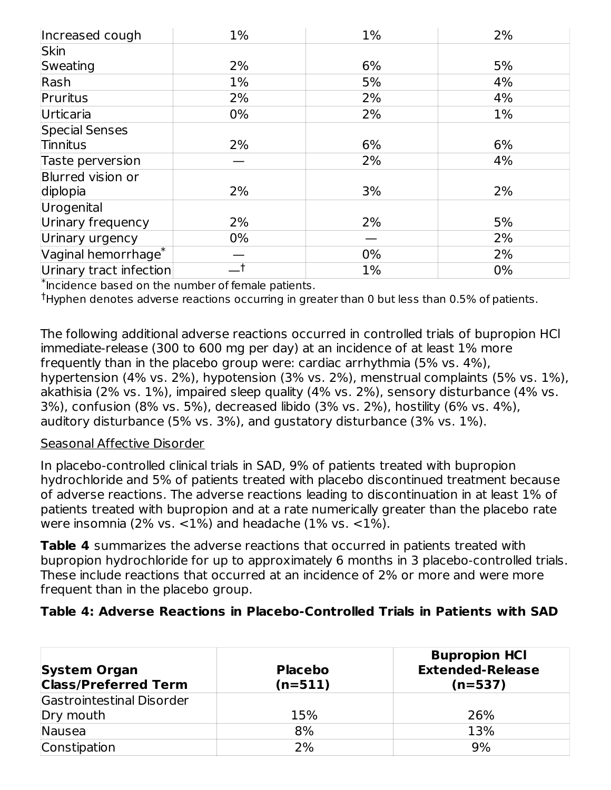| Increased cough                 | 1%    | $1\%$ | 2% |
|---------------------------------|-------|-------|----|
| <b>Skin</b>                     |       |       |    |
| Sweating                        | 2%    | 6%    | 5% |
| Rash                            | 1%    | 5%    | 4% |
| Pruritus                        | 2%    | 2%    | 4% |
| Urticaria                       | 0%    | 2%    | 1% |
| Special Senses                  |       |       |    |
| Tinnitus                        | 2%    | 6%    | 6% |
| Taste perversion                |       | 2%    | 4% |
| Blurred vision or               |       |       |    |
| diplopia                        | 2%    | 3%    | 2% |
| Urogenital                      |       |       |    |
| Urinary frequency               | 2%    | 2%    | 5% |
| Urinary urgency                 | $0\%$ |       | 2% |
| Vaginal hemorrhage <sup>*</sup> |       | 0%    | 2% |
| Urinary tract infection         |       | 1%    | 0% |

\*Incidence based on the number of female patients.

 $^\dagger$ Hyphen denotes adverse reactions occurring in greater than 0 but less than 0.5% of patients.

The following additional adverse reactions occurred in controlled trials of bupropion HCl immediate-release (300 to 600 mg per day) at an incidence of at least 1% more frequently than in the placebo group were: cardiac arrhythmia (5% vs. 4%), hypertension (4% vs. 2%), hypotension (3% vs. 2%), menstrual complaints (5% vs. 1%), akathisia (2% vs. 1%), impaired sleep quality (4% vs. 2%), sensory disturbance (4% vs. 3%), confusion (8% vs. 5%), decreased libido (3% vs. 2%), hostility (6% vs. 4%), auditory disturbance (5% vs. 3%), and gustatory disturbance (3% vs. 1%).

#### Seasonal Affective Disorder

In placebo-controlled clinical trials in SAD, 9% of patients treated with bupropion hydrochloride and 5% of patients treated with placebo discontinued treatment because of adverse reactions. The adverse reactions leading to discontinuation in at least 1% of patients treated with bupropion and at a rate numerically greater than the placebo rate were insomnia (2% vs.  $\langle 1\% \rangle$  and headache (1% vs.  $\langle 1\% \rangle$ ).

**Table 4** summarizes the adverse reactions that occurred in patients treated with bupropion hydrochloride for up to approximately 6 months in 3 placebo-controlled trials. These include reactions that occurred at an incidence of 2% or more and were more frequent than in the placebo group.

#### **Table 4: Adverse Reactions in Placebo-Controlled Trials in Patients with SAD**

| <b>System Organ</b><br><b>Class/Preferred Term</b> | <b>Placebo</b><br>$(n=511)$ | <b>Bupropion HCI</b><br><b>Extended-Release</b><br>$(n=537)$ |
|----------------------------------------------------|-----------------------------|--------------------------------------------------------------|
| Gastrointestinal Disorder                          |                             |                                                              |
| Dry mouth                                          | 15%                         | 26%                                                          |
| Nausea                                             | 8%                          | 13%                                                          |
| Constipation                                       | 2%                          | 9%                                                           |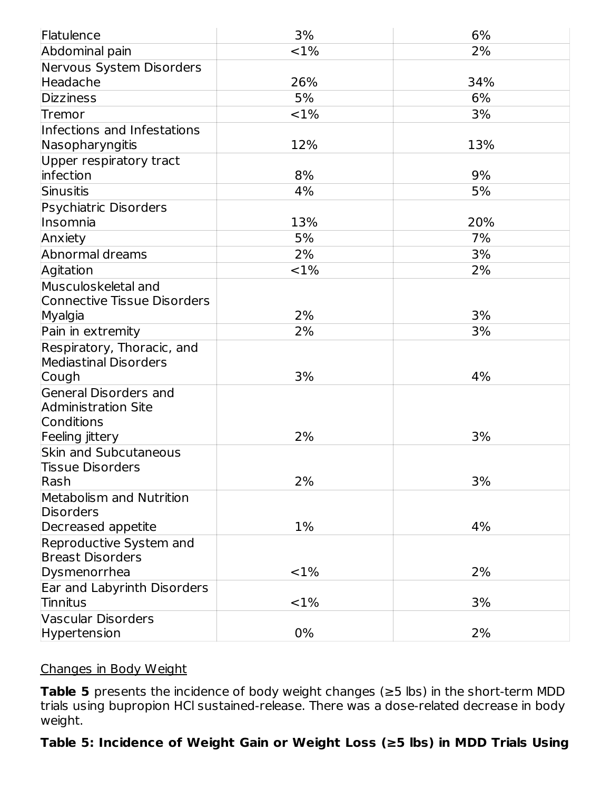| Flatulence                                       | 3%      | 6%  |
|--------------------------------------------------|---------|-----|
| Abdominal pain                                   | <1%     | 2%  |
| Nervous System Disorders                         |         |     |
| Headache                                         | 26%     | 34% |
| <b>Dizziness</b>                                 | 5%      | 6%  |
| Tremor                                           | <1%     | 3%  |
| Infections and Infestations                      |         |     |
| Nasopharyngitis                                  | 12%     | 13% |
| Upper respiratory tract                          |         |     |
| infection                                        | 8%      | 9%  |
| Sinusitis                                        | 4%      | 5%  |
| Psychiatric Disorders                            |         |     |
| Insomnia                                         | 13%     | 20% |
| Anxiety                                          | 5%      | 7%  |
| Abnormal dreams                                  | 2%      | 3%  |
| Agitation                                        | <1%     | 2%  |
| Musculoskeletal and                              |         |     |
| <b>Connective Tissue Disorders</b>               |         |     |
| Myalgia                                          | 2%      | 3%  |
| Pain in extremity                                | 2%      | 3%  |
| Respiratory, Thoracic, and                       |         |     |
| <b>Mediastinal Disorders</b>                     |         |     |
| Cough                                            | 3%      | 4%  |
| General Disorders and                            |         |     |
| <b>Administration Site</b>                       |         |     |
| Conditions                                       |         |     |
| Feeling jittery                                  | 2%      | 3%  |
| Skin and Subcutaneous<br><b>Tissue Disorders</b> |         |     |
| Rash                                             | 2%      | 3%  |
| <b>Metabolism and Nutrition</b>                  |         |     |
| Disorders                                        |         |     |
| Decreased appetite                               | 1%      | 4%  |
| Reproductive System and                          |         |     |
| <b>Breast Disorders</b>                          |         |     |
| Dysmenorrhea                                     | $< 1\%$ | 2%  |
| Ear and Labyrinth Disorders                      |         |     |
| <b>Tinnitus</b>                                  | <1%     | 3%  |
| Vascular Disorders                               |         |     |
| <b>Hypertension</b>                              | 0%      | 2%  |

### Changes in Body Weight

**Table 5** presents the incidence of body weight changes (≥5 lbs) in the short-term MDD trials using bupropion HCl sustained-release. There was a dose-related decrease in body weight.

## **Table 5: Incidence of Weight Gain or Weight Loss (≥5 lbs) in MDD Trials Using**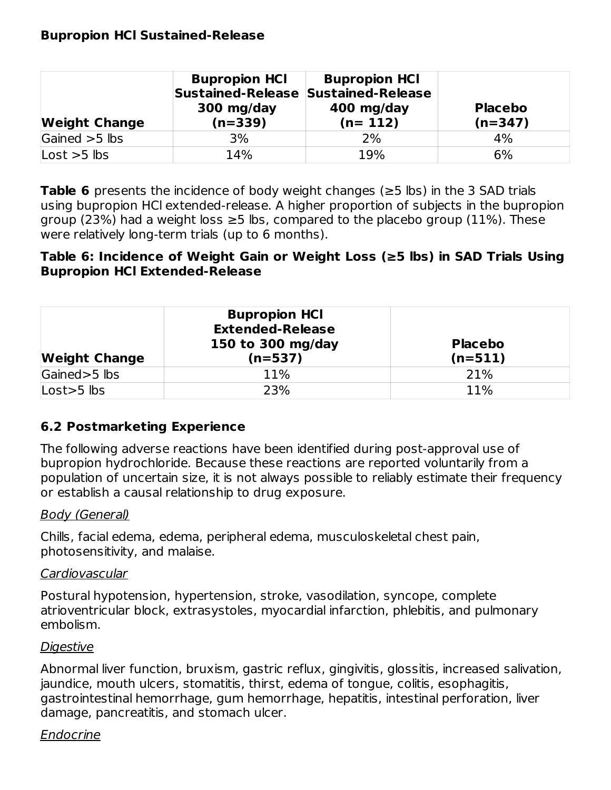| <b>Weight Change</b>              | <b>Bupropion HCI</b><br>300 mg/day<br>$(n=339)$ | <b>Bupropion HCI</b><br>Sustained-Release Sustained-Release<br>400 mg/day<br>$(n=112)$ | <b>Placebo</b><br>$(n=347)$ |
|-----------------------------------|-------------------------------------------------|----------------------------------------------------------------------------------------|-----------------------------|
| Gained $>5$ lbs                   | 3%                                              | 2%                                                                                     | 4%                          |
| $\textsf{Loss} > 5 \textsf{ lbs}$ | 14%                                             | 19%                                                                                    | 6%                          |

**Table 6** presents the incidence of body weight changes (≥5 lbs) in the 3 SAD trials using bupropion HCl extended-release. A higher proportion of subjects in the bupropion group (23%) had a weight loss  $\geq$ 5 lbs, compared to the placebo group (11%). These were relatively long-term trials (up to 6 months).

#### **Table 6: Incidence of Weight Gain or Weight Loss (≥5 lbs) in SAD Trials Using Bupropion HCl Extended-Release**

| <b>Weight Change</b> | <b>Bupropion HCI</b><br><b>Extended-Release</b><br>150 to 300 mg/day<br>(n=537) | <b>Placebo</b><br>$(n=511)$ |
|----------------------|---------------------------------------------------------------------------------|-----------------------------|
| Gained > 5 lbs       | 11%                                                                             | 21%                         |
| $Loss > 5$ lbs       | 23%                                                                             | 11%                         |

## **6.2 Postmarketing Experience**

The following adverse reactions have been identified during post-approval use of bupropion hydrochloride. Because these reactions are reported voluntarily from a population of uncertain size, it is not always possible to reliably estimate their frequency or establish a causal relationship to drug exposure.

### Body (General)

Chills, facial edema, edema, peripheral edema, musculoskeletal chest pain, photosensitivity, and malaise.

### Cardiovascular

Postural hypotension, hypertension, stroke, vasodilation, syncope, complete atrioventricular block, extrasystoles, myocardial infarction, phlebitis, and pulmonary embolism.

### **Digestive**

Abnormal liver function, bruxism, gastric reflux, gingivitis, glossitis, increased salivation, jaundice, mouth ulcers, stomatitis, thirst, edema of tongue, colitis, esophagitis, gastrointestinal hemorrhage, gum hemorrhage, hepatitis, intestinal perforation, liver damage, pancreatitis, and stomach ulcer.

## Endocrine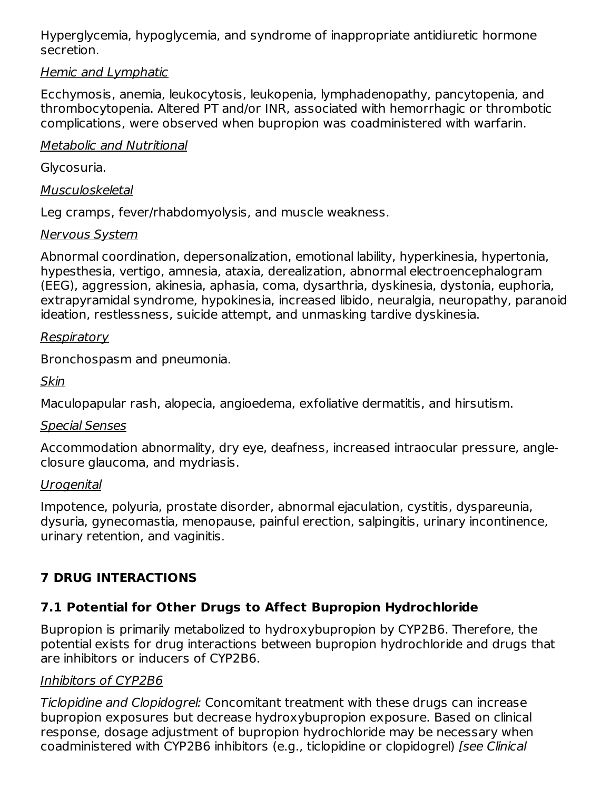Hyperglycemia, hypoglycemia, and syndrome of inappropriate antidiuretic hormone secretion.

### Hemic and Lymphatic

Ecchymosis, anemia, leukocytosis, leukopenia, lymphadenopathy, pancytopenia, and thrombocytopenia. Altered PT and/or INR, associated with hemorrhagic or thrombotic complications, were observed when bupropion was coadministered with warfarin.

### Metabolic and Nutritional

Glycosuria.

## Musculoskeletal

Leg cramps, fever/rhabdomyolysis, and muscle weakness.

## Nervous System

Abnormal coordination, depersonalization, emotional lability, hyperkinesia, hypertonia, hypesthesia, vertigo, amnesia, ataxia, derealization, abnormal electroencephalogram (EEG), aggression, akinesia, aphasia, coma, dysarthria, dyskinesia, dystonia, euphoria, extrapyramidal syndrome, hypokinesia, increased libido, neuralgia, neuropathy, paranoid ideation, restlessness, suicide attempt, and unmasking tardive dyskinesia.

### Respiratory

Bronchospasm and pneumonia.

## Skin

Maculopapular rash, alopecia, angioedema, exfoliative dermatitis, and hirsutism.

### Special Senses

Accommodation abnormality, dry eye, deafness, increased intraocular pressure, angleclosure glaucoma, and mydriasis.

### **Urogenital**

Impotence, polyuria, prostate disorder, abnormal ejaculation, cystitis, dyspareunia, dysuria, gynecomastia, menopause, painful erection, salpingitis, urinary incontinence, urinary retention, and vaginitis.

# **7 DRUG INTERACTIONS**

# **7.1 Potential for Other Drugs to Affect Bupropion Hydrochloride**

Bupropion is primarily metabolized to hydroxybupropion by CYP2B6. Therefore, the potential exists for drug interactions between bupropion hydrochloride and drugs that are inhibitors or inducers of CYP2B6.

## Inhibitors of CYP2B6

Ticlopidine and Clopidogrel: Concomitant treatment with these drugs can increase bupropion exposures but decrease hydroxybupropion exposure. Based on clinical response, dosage adjustment of bupropion hydrochloride may be necessary when coadministered with CYP2B6 inhibitors (e.g., ticlopidine or clopidogrel) [see Clinical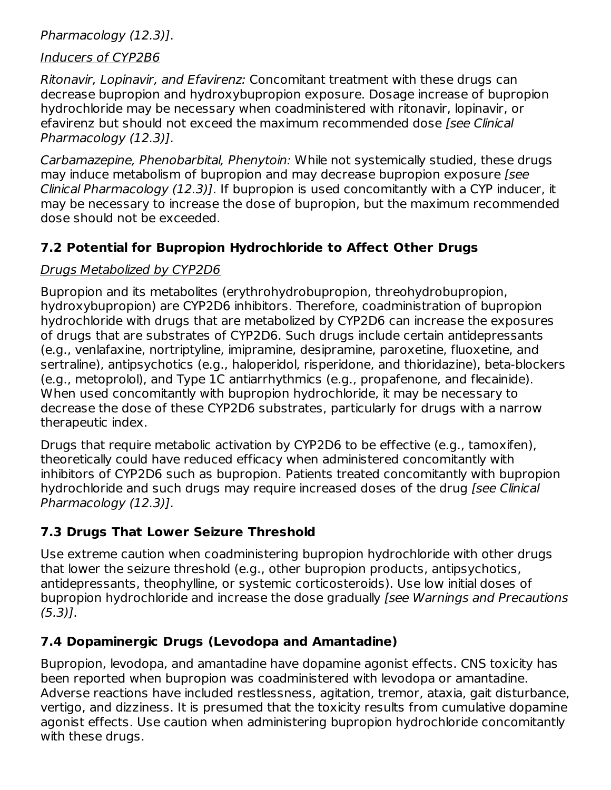Pharmacology (12.3)].

## Inducers of CYP2B6

Ritonavir, Lopinavir, and Efavirenz: Concomitant treatment with these drugs can decrease bupropion and hydroxybupropion exposure. Dosage increase of bupropion hydrochloride may be necessary when coadministered with ritonavir, lopinavir, or efavirenz but should not exceed the maximum recommended dose *[see Clinical*] Pharmacology (12.3)].

Carbamazepine, Phenobarbital, Phenytoin: While not systemically studied, these drugs may induce metabolism of bupropion and may decrease bupropion exposure [see Clinical Pharmacology (12.3)]. If bupropion is used concomitantly with a CYP inducer, it may be necessary to increase the dose of bupropion, but the maximum recommended dose should not be exceeded.

# **7.2 Potential for Bupropion Hydrochloride to Affect Other Drugs**

## Drugs Metabolized by CYP2D6

Bupropion and its metabolites (erythrohydrobupropion, threohydrobupropion, hydroxybupropion) are CYP2D6 inhibitors. Therefore, coadministration of bupropion hydrochloride with drugs that are metabolized by CYP2D6 can increase the exposures of drugs that are substrates of CYP2D6. Such drugs include certain antidepressants (e.g., venlafaxine, nortriptyline, imipramine, desipramine, paroxetine, fluoxetine, and sertraline), antipsychotics (e.g., haloperidol, risperidone, and thioridazine), beta-blockers (e.g., metoprolol), and Type 1C antiarrhythmics (e.g., propafenone, and flecainide). When used concomitantly with bupropion hydrochloride, it may be necessary to decrease the dose of these CYP2D6 substrates, particularly for drugs with a narrow therapeutic index.

Drugs that require metabolic activation by CYP2D6 to be effective (e.g., tamoxifen), theoretically could have reduced efficacy when administered concomitantly with inhibitors of CYP2D6 such as bupropion. Patients treated concomitantly with bupropion hydrochloride and such drugs may require increased doses of the drug *[see Clinical*] Pharmacology (12.3)].

# **7.3 Drugs That Lower Seizure Threshold**

Use extreme caution when coadministering bupropion hydrochloride with other drugs that lower the seizure threshold (e.g., other bupropion products, antipsychotics, antidepressants, theophylline, or systemic corticosteroids). Use low initial doses of bupropion hydrochloride and increase the dose gradually [see Warnings and Precautions (5.3)].

# **7.4 Dopaminergic Drugs (Levodopa and Amantadine)**

Bupropion, levodopa, and amantadine have dopamine agonist effects. CNS toxicity has been reported when bupropion was coadministered with levodopa or amantadine. Adverse reactions have included restlessness, agitation, tremor, ataxia, gait disturbance, vertigo, and dizziness. It is presumed that the toxicity results from cumulative dopamine agonist effects. Use caution when administering bupropion hydrochloride concomitantly with these drugs.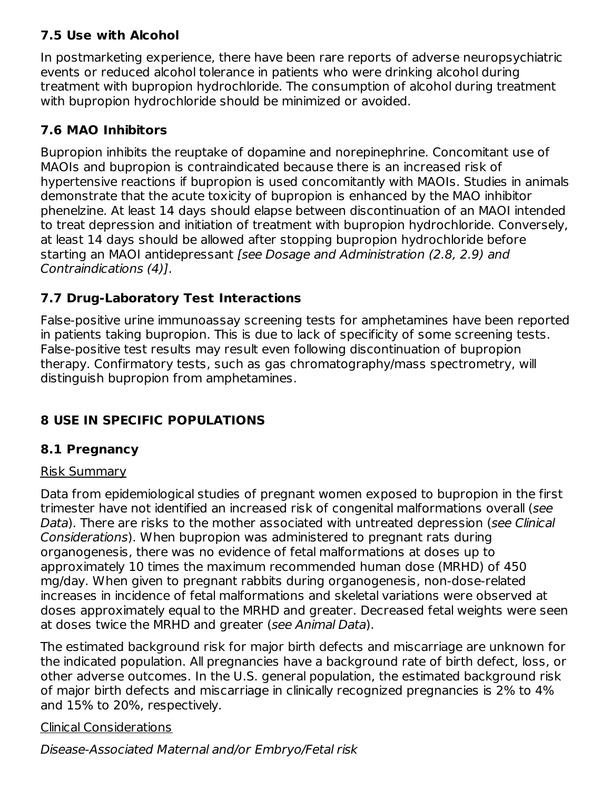# **7.5 Use with Alcohol**

In postmarketing experience, there have been rare reports of adverse neuropsychiatric events or reduced alcohol tolerance in patients who were drinking alcohol during treatment with bupropion hydrochloride. The consumption of alcohol during treatment with bupropion hydrochloride should be minimized or avoided.

# **7.6 MAO Inhibitors**

Bupropion inhibits the reuptake of dopamine and norepinephrine. Concomitant use of MAOIs and bupropion is contraindicated because there is an increased risk of hypertensive reactions if bupropion is used concomitantly with MAOIs. Studies in animals demonstrate that the acute toxicity of bupropion is enhanced by the MAO inhibitor phenelzine. At least 14 days should elapse between discontinuation of an MAOI intended to treat depression and initiation of treatment with bupropion hydrochloride. Conversely, at least 14 days should be allowed after stopping bupropion hydrochloride before starting an MAOI antidepressant *[see Dosage and Administration (2.8, 2.9) and* Contraindications (4)].

# **7.7 Drug-Laboratory Test Interactions**

False-positive urine immunoassay screening tests for amphetamines have been reported in patients taking bupropion. This is due to lack of specificity of some screening tests. False-positive test results may result even following discontinuation of bupropion therapy. Confirmatory tests, such as gas chromatography/mass spectrometry, will distinguish bupropion from amphetamines.

# **8 USE IN SPECIFIC POPULATIONS**

## **8.1 Pregnancy**

## Risk Summary

Data from epidemiological studies of pregnant women exposed to bupropion in the first trimester have not identified an increased risk of congenital malformations overall (see Data). There are risks to the mother associated with untreated depression (see Clinical Considerations). When bupropion was administered to pregnant rats during organogenesis, there was no evidence of fetal malformations at doses up to approximately 10 times the maximum recommended human dose (MRHD) of 450 mg/day. When given to pregnant rabbits during organogenesis, non-dose-related increases in incidence of fetal malformations and skeletal variations were observed at doses approximately equal to the MRHD and greater. Decreased fetal weights were seen at doses twice the MRHD and greater (see Animal Data).

The estimated background risk for major birth defects and miscarriage are unknown for the indicated population. All pregnancies have a background rate of birth defect, loss, or other adverse outcomes. In the U.S. general population, the estimated background risk of major birth defects and miscarriage in clinically recognized pregnancies is 2% to 4% and 15% to 20%, respectively.

Clinical Considerations

Disease-Associated Maternal and/or Embryo/Fetal risk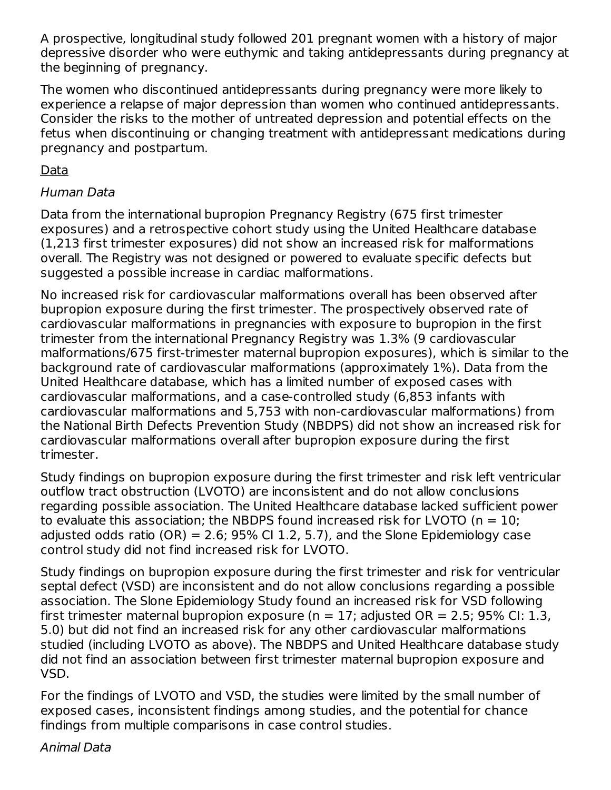A prospective, longitudinal study followed 201 pregnant women with a history of major depressive disorder who were euthymic and taking antidepressants during pregnancy at the beginning of pregnancy.

The women who discontinued antidepressants during pregnancy were more likely to experience a relapse of major depression than women who continued antidepressants. Consider the risks to the mother of untreated depression and potential effects on the fetus when discontinuing or changing treatment with antidepressant medications during pregnancy and postpartum.

Data

## Human Data

Data from the international bupropion Pregnancy Registry (675 first trimester exposures) and a retrospective cohort study using the United Healthcare database (1,213 first trimester exposures) did not show an increased risk for malformations overall. The Registry was not designed or powered to evaluate specific defects but suggested a possible increase in cardiac malformations.

No increased risk for cardiovascular malformations overall has been observed after bupropion exposure during the first trimester. The prospectively observed rate of cardiovascular malformations in pregnancies with exposure to bupropion in the first trimester from the international Pregnancy Registry was 1.3% (9 cardiovascular malformations/675 first-trimester maternal bupropion exposures), which is similar to the background rate of cardiovascular malformations (approximately 1%). Data from the United Healthcare database, which has a limited number of exposed cases with cardiovascular malformations, and a case-controlled study (6,853 infants with cardiovascular malformations and 5,753 with non-cardiovascular malformations) from the National Birth Defects Prevention Study (NBDPS) did not show an increased risk for cardiovascular malformations overall after bupropion exposure during the first trimester.

Study findings on bupropion exposure during the first trimester and risk left ventricular outflow tract obstruction (LVOTO) are inconsistent and do not allow conclusions regarding possible association. The United Healthcare database lacked sufficient power to evaluate this association; the NBDPS found increased risk for LVOTO ( $n = 10$ ; adjusted odds ratio (OR) = 2.6; 95% CI 1.2, 5.7), and the Slone Epidemiology case control study did not find increased risk for LVOTO.

Study findings on bupropion exposure during the first trimester and risk for ventricular septal defect (VSD) are inconsistent and do not allow conclusions regarding a possible association. The Slone Epidemiology Study found an increased risk for VSD following first trimester maternal bupropion exposure ( $n = 17$ ; adjusted  $OR = 2.5$ ; 95% CI; 1.3, 5.0) but did not find an increased risk for any other cardiovascular malformations studied (including LVOTO as above). The NBDPS and United Healthcare database study did not find an association between first trimester maternal bupropion exposure and VSD.

For the findings of LVOTO and VSD, the studies were limited by the small number of exposed cases, inconsistent findings among studies, and the potential for chance findings from multiple comparisons in case control studies.

Animal Data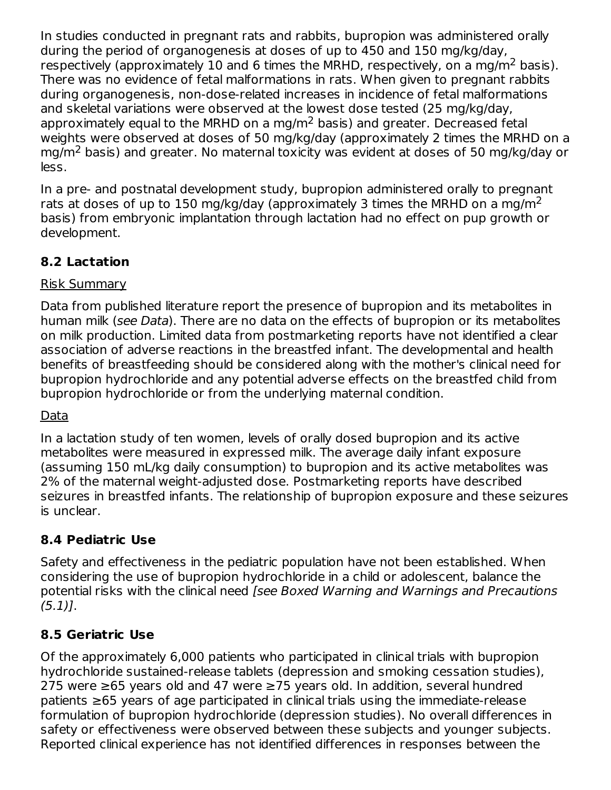In studies conducted in pregnant rats and rabbits, bupropion was administered orally during the period of organogenesis at doses of up to 450 and 150 mg/kg/day, respectively (approximately 10 and 6 times the MRHD, respectively, on a mg/m<sup>2</sup> basis). There was no evidence of fetal malformations in rats. When given to pregnant rabbits during organogenesis, non-dose-related increases in incidence of fetal malformations and skeletal variations were observed at the lowest dose tested (25 mg/kg/day, approximately equal to the MRHD on a mg/m<sup>2</sup> basis) and greater. Decreased fetal weights were observed at doses of 50 mg/kg/day (approximately 2 times the MRHD on a mg/m<sup>2</sup> basis) and greater. No maternal toxicity was evident at doses of 50 mg/kg/day or less.

In a pre- and postnatal development study, bupropion administered orally to pregnant rats at doses of up to 150 mg/kg/day (approximately 3 times the MRHD on a mg/m<sup>2</sup> basis) from embryonic implantation through lactation had no effect on pup growth or development.

# **8.2 Lactation**

# Risk Summary

Data from published literature report the presence of bupropion and its metabolites in human milk (see Data). There are no data on the effects of bupropion or its metabolites on milk production. Limited data from postmarketing reports have not identified a clear association of adverse reactions in the breastfed infant. The developmental and health benefits of breastfeeding should be considered along with the mother's clinical need for bupropion hydrochloride and any potential adverse effects on the breastfed child from bupropion hydrochloride or from the underlying maternal condition.

## **Data**

In a lactation study of ten women, levels of orally dosed bupropion and its active metabolites were measured in expressed milk. The average daily infant exposure (assuming 150 mL/kg daily consumption) to bupropion and its active metabolites was 2% of the maternal weight-adjusted dose. Postmarketing reports have described seizures in breastfed infants. The relationship of bupropion exposure and these seizures is unclear.

# **8.4 Pediatric Use**

Safety and effectiveness in the pediatric population have not been established. When considering the use of bupropion hydrochloride in a child or adolescent, balance the potential risks with the clinical need [see Boxed Warning and Warnings and Precautions  $(5.1)$ .

# **8.5 Geriatric Use**

Of the approximately 6,000 patients who participated in clinical trials with bupropion hydrochloride sustained-release tablets (depression and smoking cessation studies), 275 were ≥65 years old and 47 were ≥75 years old. In addition, several hundred patients ≥65 years of age participated in clinical trials using the immediate-release formulation of bupropion hydrochloride (depression studies). No overall differences in safety or effectiveness were observed between these subjects and younger subjects. Reported clinical experience has not identified differences in responses between the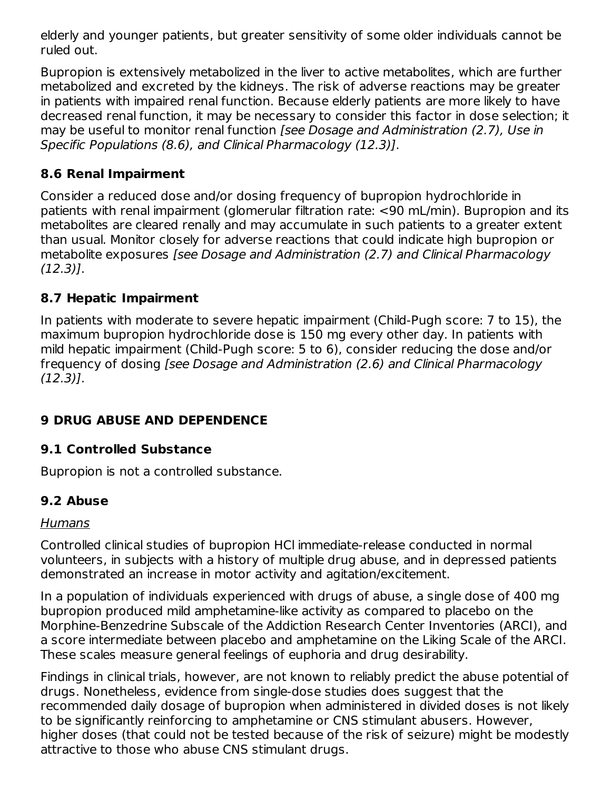elderly and younger patients, but greater sensitivity of some older individuals cannot be ruled out.

Bupropion is extensively metabolized in the liver to active metabolites, which are further metabolized and excreted by the kidneys. The risk of adverse reactions may be greater in patients with impaired renal function. Because elderly patients are more likely to have decreased renal function, it may be necessary to consider this factor in dose selection; it may be useful to monitor renal function [see Dosage and Administration (2.7), Use in Specific Populations (8.6), and Clinical Pharmacology (12.3)].

## **8.6 Renal Impairment**

Consider a reduced dose and/or dosing frequency of bupropion hydrochloride in patients with renal impairment (glomerular filtration rate: <90 mL/min). Bupropion and its metabolites are cleared renally and may accumulate in such patients to a greater extent than usual. Monitor closely for adverse reactions that could indicate high bupropion or metabolite exposures [see Dosage and Administration (2.7) and Clinical Pharmacology (12.3)].

## **8.7 Hepatic Impairment**

In patients with moderate to severe hepatic impairment (Child-Pugh score: 7 to 15), the maximum bupropion hydrochloride dose is 150 mg every other day. In patients with mild hepatic impairment (Child-Pugh score: 5 to 6), consider reducing the dose and/or frequency of dosing [see Dosage and Administration (2.6) and Clinical Pharmacology  $(12.3)$ ].

## **9 DRUG ABUSE AND DEPENDENCE**

### **9.1 Controlled Substance**

Bupropion is not a controlled substance.

## **9.2 Abuse**

### Humans

Controlled clinical studies of bupropion HCl immediate-release conducted in normal volunteers, in subjects with a history of multiple drug abuse, and in depressed patients demonstrated an increase in motor activity and agitation/excitement.

In a population of individuals experienced with drugs of abuse, a single dose of 400 mg bupropion produced mild amphetamine-like activity as compared to placebo on the Morphine-Benzedrine Subscale of the Addiction Research Center Inventories (ARCI), and a score intermediate between placebo and amphetamine on the Liking Scale of the ARCI. These scales measure general feelings of euphoria and drug desirability.

Findings in clinical trials, however, are not known to reliably predict the abuse potential of drugs. Nonetheless, evidence from single-dose studies does suggest that the recommended daily dosage of bupropion when administered in divided doses is not likely to be significantly reinforcing to amphetamine or CNS stimulant abusers. However, higher doses (that could not be tested because of the risk of seizure) might be modestly attractive to those who abuse CNS stimulant drugs.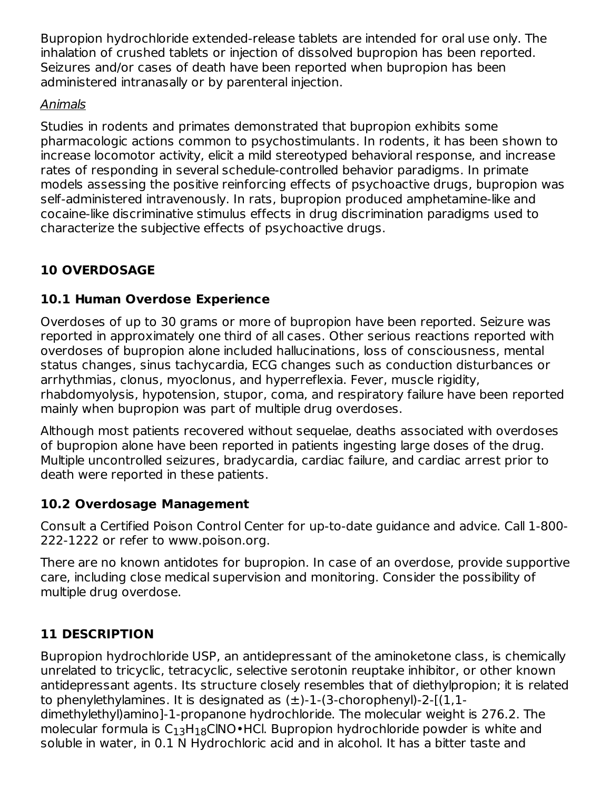Bupropion hydrochloride extended-release tablets are intended for oral use only. The inhalation of crushed tablets or injection of dissolved bupropion has been reported. Seizures and/or cases of death have been reported when bupropion has been administered intranasally or by parenteral injection.

## Animals

Studies in rodents and primates demonstrated that bupropion exhibits some pharmacologic actions common to psychostimulants. In rodents, it has been shown to increase locomotor activity, elicit a mild stereotyped behavioral response, and increase rates of responding in several schedule-controlled behavior paradigms. In primate models assessing the positive reinforcing effects of psychoactive drugs, bupropion was self-administered intravenously. In rats, bupropion produced amphetamine-like and cocaine-like discriminative stimulus effects in drug discrimination paradigms used to characterize the subjective effects of psychoactive drugs.

# **10 OVERDOSAGE**

## **10.1 Human Overdose Experience**

Overdoses of up to 30 grams or more of bupropion have been reported. Seizure was reported in approximately one third of all cases. Other serious reactions reported with overdoses of bupropion alone included hallucinations, loss of consciousness, mental status changes, sinus tachycardia, ECG changes such as conduction disturbances or arrhythmias, clonus, myoclonus, and hyperreflexia. Fever, muscle rigidity, rhabdomyolysis, hypotension, stupor, coma, and respiratory failure have been reported mainly when bupropion was part of multiple drug overdoses.

Although most patients recovered without sequelae, deaths associated with overdoses of bupropion alone have been reported in patients ingesting large doses of the drug. Multiple uncontrolled seizures, bradycardia, cardiac failure, and cardiac arrest prior to death were reported in these patients.

## **10.2 Overdosage Management**

Consult a Certified Poison Control Center for up-to-date guidance and advice. Call 1-800- 222-1222 or refer to www.poison.org.

There are no known antidotes for bupropion. In case of an overdose, provide supportive care, including close medical supervision and monitoring. Consider the possibility of multiple drug overdose.

# **11 DESCRIPTION**

Bupropion hydrochloride USP, an antidepressant of the aminoketone class, is chemically unrelated to tricyclic, tetracyclic, selective serotonin reuptake inhibitor, or other known antidepressant agents. Its structure closely resembles that of diethylpropion; it is related to phenylethylamines. It is designated as  $(\pm)$ -1-(3-chorophenyl)-2- $(1,1$ dimethylethyl)amino]-1-propanone hydrochloride. The molecular weight is 276.2. The molecular formula is  $\mathsf{C}_{13}\mathsf{H}_{18}\mathsf{C}$ INO•HCl. Bupropion hydrochloride powder is white and soluble in water, in 0.1 N Hydrochloric acid and in alcohol. It has a bitter taste and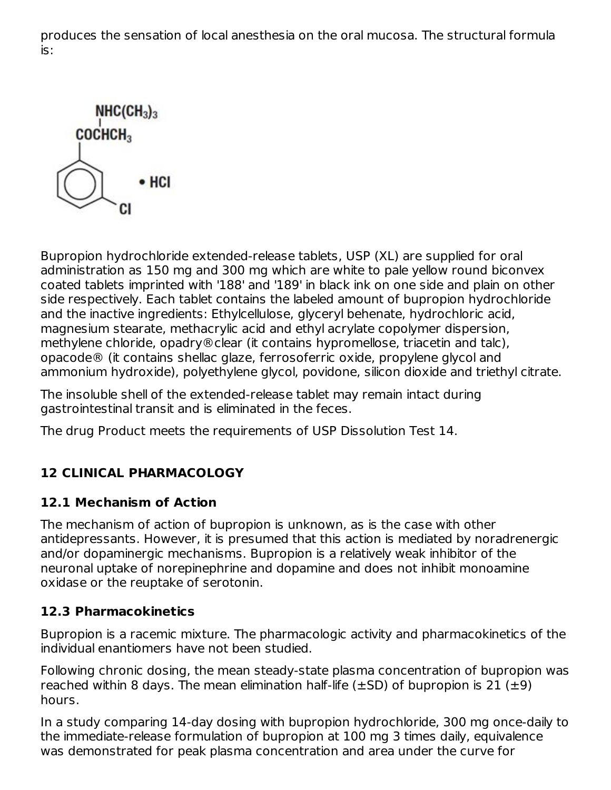produces the sensation of local anesthesia on the oral mucosa. The structural formula is:



Bupropion hydrochloride extended-release tablets, USP (XL) are supplied for oral administration as 150 mg and 300 mg which are white to pale yellow round biconvex coated tablets imprinted with '188' and '189' in black ink on one side and plain on other side respectively. Each tablet contains the labeled amount of bupropion hydrochloride and the inactive ingredients: Ethylcellulose, glyceryl behenate, hydrochloric acid, magnesium stearate, methacrylic acid and ethyl acrylate copolymer dispersion, methylene chloride, opadry®clear (it contains hypromellose, triacetin and talc), opacode® (it contains shellac glaze, ferrosoferric oxide, propylene glycol and ammonium hydroxide), polyethylene glycol, povidone, silicon dioxide and triethyl citrate.

The insoluble shell of the extended-release tablet may remain intact during gastrointestinal transit and is eliminated in the feces.

The drug Product meets the requirements of USP Dissolution Test 14.

# **12 CLINICAL PHARMACOLOGY**

## **12.1 Mechanism of Action**

The mechanism of action of bupropion is unknown, as is the case with other antidepressants. However, it is presumed that this action is mediated by noradrenergic and/or dopaminergic mechanisms. Bupropion is a relatively weak inhibitor of the neuronal uptake of norepinephrine and dopamine and does not inhibit monoamine oxidase or the reuptake of serotonin.

## **12.3 Pharmacokinetics**

Bupropion is a racemic mixture. The pharmacologic activity and pharmacokinetics of the individual enantiomers have not been studied.

Following chronic dosing, the mean steady-state plasma concentration of bupropion was reached within 8 days. The mean elimination half-life ( $\pm$ SD) of bupropion is 21 ( $\pm$ 9) hours.

In a study comparing 14-day dosing with bupropion hydrochloride, 300 mg once-daily to the immediate-release formulation of bupropion at 100 mg 3 times daily, equivalence was demonstrated for peak plasma concentration and area under the curve for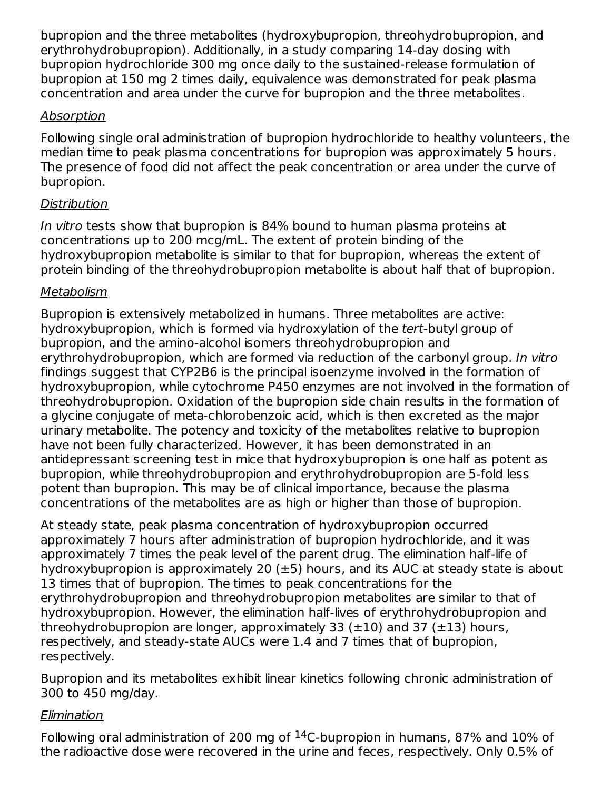bupropion and the three metabolites (hydroxybupropion, threohydrobupropion, and erythrohydrobupropion). Additionally, in a study comparing 14-day dosing with bupropion hydrochloride 300 mg once daily to the sustained-release formulation of bupropion at 150 mg 2 times daily, equivalence was demonstrated for peak plasma concentration and area under the curve for bupropion and the three metabolites.

## Absorption

Following single oral administration of bupropion hydrochloride to healthy volunteers, the median time to peak plasma concentrations for bupropion was approximately 5 hours. The presence of food did not affect the peak concentration or area under the curve of bupropion.

## **Distribution**

In vitro tests show that bupropion is 84% bound to human plasma proteins at concentrations up to 200 mcg/mL. The extent of protein binding of the hydroxybupropion metabolite is similar to that for bupropion, whereas the extent of protein binding of the threohydrobupropion metabolite is about half that of bupropion.

## **Metabolism**

Bupropion is extensively metabolized in humans. Three metabolites are active: hydroxybupropion, which is formed via hydroxylation of the tert-butyl group of bupropion, and the amino-alcohol isomers threohydrobupropion and erythrohydrobupropion, which are formed via reduction of the carbonyl group. In vitro findings suggest that CYP2B6 is the principal isoenzyme involved in the formation of hydroxybupropion, while cytochrome P450 enzymes are not involved in the formation of threohydrobupropion. Oxidation of the bupropion side chain results in the formation of a glycine conjugate of meta-chlorobenzoic acid, which is then excreted as the major urinary metabolite. The potency and toxicity of the metabolites relative to bupropion have not been fully characterized. However, it has been demonstrated in an antidepressant screening test in mice that hydroxybupropion is one half as potent as bupropion, while threohydrobupropion and erythrohydrobupropion are 5-fold less potent than bupropion. This may be of clinical importance, because the plasma concentrations of the metabolites are as high or higher than those of bupropion.

At steady state, peak plasma concentration of hydroxybupropion occurred approximately 7 hours after administration of bupropion hydrochloride, and it was approximately 7 times the peak level of the parent drug. The elimination half-life of hydroxybupropion is approximately 20  $(\pm 5)$  hours, and its AUC at steady state is about 13 times that of bupropion. The times to peak concentrations for the erythrohydrobupropion and threohydrobupropion metabolites are similar to that of hydroxybupropion. However, the elimination half-lives of erythrohydrobupropion and threohydrobupropion are longer, approximately 33 ( $\pm$ 10) and 37 ( $\pm$ 13) hours, respectively, and steady-state AUCs were 1.4 and 7 times that of bupropion, respectively.

Bupropion and its metabolites exhibit linear kinetics following chronic administration of 300 to 450 mg/day.

## Elimination

Following oral administration of 200 mg of  $^{14}$ C-bupropion in humans, 87% and 10% of the radioactive dose were recovered in the urine and feces, respectively. Only 0.5% of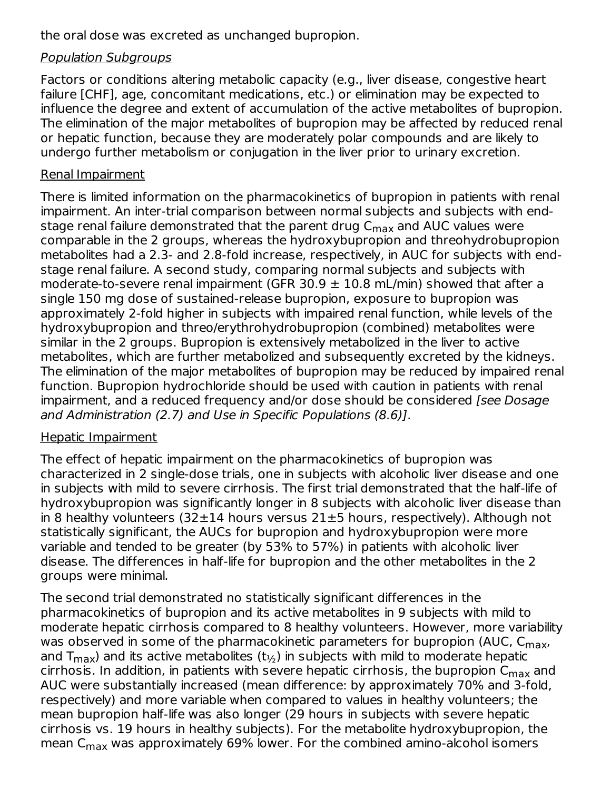the oral dose was excreted as unchanged bupropion.

## Population Subgroups

Factors or conditions altering metabolic capacity (e.g., liver disease, congestive heart failure [CHF], age, concomitant medications, etc.) or elimination may be expected to influence the degree and extent of accumulation of the active metabolites of bupropion. The elimination of the major metabolites of bupropion may be affected by reduced renal or hepatic function, because they are moderately polar compounds and are likely to undergo further metabolism or conjugation in the liver prior to urinary excretion.

## Renal Impairment

There is limited information on the pharmacokinetics of bupropion in patients with renal impairment. An inter-trial comparison between normal subjects and subjects with endstage renal failure demonstrated that the parent drug C<sub>max</sub> and AUC values were comparable in the 2 groups, whereas the hydroxybupropion and threohydrobupropion metabolites had a 2.3- and 2.8-fold increase, respectively, in AUC for subjects with endstage renal failure. A second study, comparing normal subjects and subjects with moderate-to-severe renal impairment (GFR 30.9  $\pm$  10.8 mL/min) showed that after a single 150 mg dose of sustained-release bupropion, exposure to bupropion was approximately 2-fold higher in subjects with impaired renal function, while levels of the hydroxybupropion and threo/erythrohydrobupropion (combined) metabolites were similar in the 2 groups. Bupropion is extensively metabolized in the liver to active metabolites, which are further metabolized and subsequently excreted by the kidneys. The elimination of the major metabolites of bupropion may be reduced by impaired renal function. Bupropion hydrochloride should be used with caution in patients with renal impairment, and a reduced frequency and/or dose should be considered [see Dosage] and Administration (2.7) and Use in Specific Populations (8.6)].

## Hepatic Impairment

The effect of hepatic impairment on the pharmacokinetics of bupropion was characterized in 2 single-dose trials, one in subjects with alcoholic liver disease and one in subjects with mild to severe cirrhosis. The first trial demonstrated that the half-life of hydroxybupropion was significantly longer in 8 subjects with alcoholic liver disease than in 8 healthy volunteers  $(32\pm14$  hours versus  $21\pm5$  hours, respectively). Although not statistically significant, the AUCs for bupropion and hydroxybupropion were more variable and tended to be greater (by 53% to 57%) in patients with alcoholic liver disease. The differences in half-life for bupropion and the other metabolites in the 2 groups were minimal.

The second trial demonstrated no statistically significant differences in the pharmacokinetics of bupropion and its active metabolites in 9 subjects with mild to moderate hepatic cirrhosis compared to 8 healthy volunteers. However, more variability was observed in some of the pharmacokinetic parameters for bupropion (AUC, C<sub>max</sub>, and T $_{\sf max}$ ) and its active metabolites (t $_{\rm \gamma_2}$ ) in subjects with mild to moderate hepatic cirrhosis. In addition, in patients with severe hepatic cirrhosis, the bupropion  ${\sf C}_{\sf max}$  and AUC were substantially increased (mean difference: by approximately 70% and 3-fold, respectively) and more variable when compared to values in healthy volunteers; the mean bupropion half-life was also longer (29 hours in subjects with severe hepatic cirrhosis vs. 19 hours in healthy subjects). For the metabolite hydroxybupropion, the mean C $_{\sf max}$  was approximately 69% lower. For the combined amino-alcohol isomers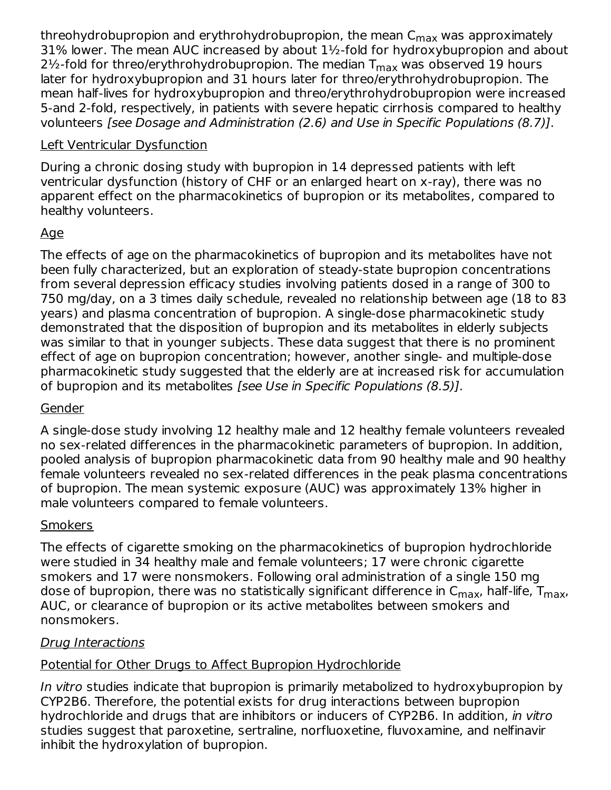threohydrobupropion and erythrohydrobupropion, the mean C<sub>max</sub> was approximately 31% lower. The mean AUC increased by about  $1\frac{1}{2}$ -fold for hydroxybupropion and about 2½-fold for threo/erythrohydrobupropion. The median  $\mathsf{T}_{\mathsf{max}}$  was observed 19 hours later for hydroxybupropion and 31 hours later for threo/erythrohydrobupropion. The mean half-lives for hydroxybupropion and threo/erythrohydrobupropion were increased 5-and 2-fold, respectively, in patients with severe hepatic cirrhosis compared to healthy volunteers [see Dosage and Administration (2.6) and Use in Specific Populations (8.7)].

## Left Ventricular Dysfunction

During a chronic dosing study with bupropion in 14 depressed patients with left ventricular dysfunction (history of CHF or an enlarged heart on x-ray), there was no apparent effect on the pharmacokinetics of bupropion or its metabolites, compared to healthy volunteers.

# Age

The effects of age on the pharmacokinetics of bupropion and its metabolites have not been fully characterized, but an exploration of steady-state bupropion concentrations from several depression efficacy studies involving patients dosed in a range of 300 to 750 mg/day, on a 3 times daily schedule, revealed no relationship between age (18 to 83 years) and plasma concentration of bupropion. A single-dose pharmacokinetic study demonstrated that the disposition of bupropion and its metabolites in elderly subjects was similar to that in younger subjects. These data suggest that there is no prominent effect of age on bupropion concentration; however, another single- and multiple-dose pharmacokinetic study suggested that the elderly are at increased risk for accumulation of bupropion and its metabolites [see Use in Specific Populations (8.5)].

# Gender

A single-dose study involving 12 healthy male and 12 healthy female volunteers revealed no sex-related differences in the pharmacokinetic parameters of bupropion. In addition, pooled analysis of bupropion pharmacokinetic data from 90 healthy male and 90 healthy female volunteers revealed no sex-related differences in the peak plasma concentrations of bupropion. The mean systemic exposure (AUC) was approximately 13% higher in male volunteers compared to female volunteers.

# **Smokers**

The effects of cigarette smoking on the pharmacokinetics of bupropion hydrochloride were studied in 34 healthy male and female volunteers; 17 were chronic cigarette smokers and 17 were nonsmokers. Following oral administration of a single 150 mg dose of bupropion, there was no statistically significant difference in C $_{\sf max}$ , half-life, T $_{\sf max}$ , AUC, or clearance of bupropion or its active metabolites between smokers and nonsmokers.

# Drug Interactions

# Potential for Other Drugs to Affect Bupropion Hydrochloride

In vitro studies indicate that bupropion is primarily metabolized to hydroxybupropion by CYP2B6. Therefore, the potential exists for drug interactions between bupropion hydrochloride and drugs that are inhibitors or inducers of CYP2B6. In addition, in vitro studies suggest that paroxetine, sertraline, norfluoxetine, fluvoxamine, and nelfinavir inhibit the hydroxylation of bupropion.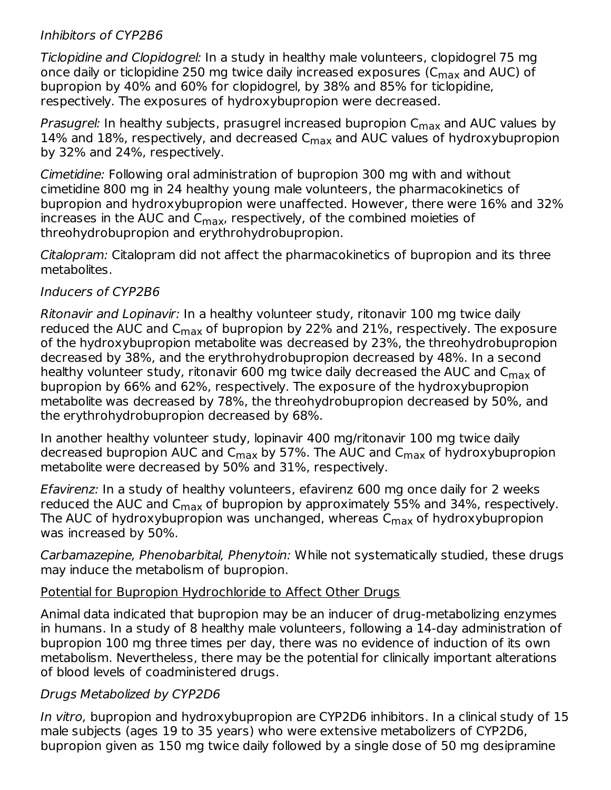## Inhibitors of CYP2B6

Ticlopidine and Clopidogrel: In a study in healthy male volunteers, clopidogrel 75 mg once daily or ticlopidine 250 mg twice daily increased exposures (C<sub>max</sub> and AUC) of bupropion by 40% and 60% for clopidogrel, by 38% and 85% for ticlopidine, respectively. The exposures of hydroxybupropion were decreased.

*Prasugrel:* In healthy subjects, prasugrel increased bupropion C<sub>max</sub> and AUC values by 14% and 18%, respectively, and decreased C $_{\sf max}$  and AUC values of hydroxybupropion by 32% and 24%, respectively.

Cimetidine: Following oral administration of bupropion 300 mg with and without cimetidine 800 mg in 24 healthy young male volunteers, the pharmacokinetics of bupropion and hydroxybupropion were unaffected. However, there were 16% and 32% increases in the AUC and C<sub>max</sub>, respectively, of the combined moieties of threohydrobupropion and erythrohydrobupropion.

Citalopram: Citalopram did not affect the pharmacokinetics of bupropion and its three metabolites.

## Inducers of CYP2B6

Ritonavir and Lopinavir: In a healthy volunteer study, ritonavir 100 mg twice daily reduced the AUC and C<sub>max</sub> of bupropion by 22% and 21%, respectively. The exposure of the hydroxybupropion metabolite was decreased by 23%, the threohydrobupropion decreased by 38%, and the erythrohydrobupropion decreased by 48%. In a second healthy volunteer study, ritonavir 600 mg twice daily decreased the AUC and C<sub>max</sub> of bupropion by 66% and 62%, respectively. The exposure of the hydroxybupropion metabolite was decreased by 78%, the threohydrobupropion decreased by 50%, and the erythrohydrobupropion decreased by 68%.

In another healthy volunteer study, lopinavir 400 mg/ritonavir 100 mg twice daily decreased bupropion AUC and C<sub>max</sub> by 57%. The AUC and C<sub>max</sub> of hydroxybupropion metabolite were decreased by 50% and 31%, respectively.

Efavirenz: In a study of healthy volunteers, efavirenz 600 mg once daily for 2 weeks reduced the AUC and C<sub>max</sub> of bupropion by approximately 55% and 34%, respectively. The AUC of hydroxybupropion was unchanged, whereas C<sub>max</sub> of hydroxybupropion was increased by 50%.

Carbamazepine, Phenobarbital, Phenytoin: While not systematically studied, these drugs may induce the metabolism of bupropion.

### Potential for Bupropion Hydrochloride to Affect Other Drugs

Animal data indicated that bupropion may be an inducer of drug-metabolizing enzymes in humans. In a study of 8 healthy male volunteers, following a 14-day administration of bupropion 100 mg three times per day, there was no evidence of induction of its own metabolism. Nevertheless, there may be the potential for clinically important alterations of blood levels of coadministered drugs.

### Drugs Metabolized by CYP2D6

In vitro, bupropion and hydroxybupropion are CYP2D6 inhibitors. In a clinical study of 15 male subjects (ages 19 to 35 years) who were extensive metabolizers of CYP2D6, bupropion given as 150 mg twice daily followed by a single dose of 50 mg desipramine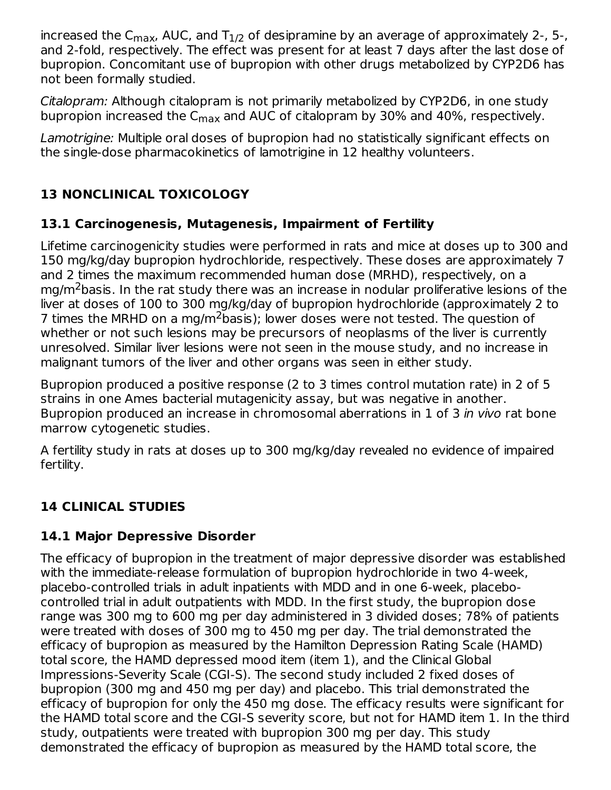increased the C<sub>max</sub>, AUC, and T $_{1/2}$  of desipramine by an average of approximately 2-, 5-, and 2-fold, respectively. The effect was present for at least 7 days after the last dose of bupropion. Concomitant use of bupropion with other drugs metabolized by CYP2D6 has not been formally studied.

Citalopram: Although citalopram is not primarily metabolized by CYP2D6, in one study bupropion increased the  $\mathsf{C}_{\mathsf{max}}$  and AUC of citalopram by 30% and 40%, respectively.

Lamotrigine: Multiple oral doses of bupropion had no statistically significant effects on the single-dose pharmacokinetics of lamotrigine in 12 healthy volunteers.

# **13 NONCLINICAL TOXICOLOGY**

# **13.1 Carcinogenesis, Mutagenesis, Impairment of Fertility**

Lifetime carcinogenicity studies were performed in rats and mice at doses up to 300 and 150 mg/kg/day bupropion hydrochloride, respectively. These doses are approximately 7 and 2 times the maximum recommended human dose (MRHD), respectively, on a mg/m $^2$ basis. In the rat study there was an increase in nodular proliferative lesions of the liver at doses of 100 to 300 mg/kg/day of bupropion hydrochloride (approximately 2 to 7 times the MRHD on a mg/m<sup>2</sup>basis); lower doses were not tested. The question of whether or not such lesions may be precursors of neoplasms of the liver is currently unresolved. Similar liver lesions were not seen in the mouse study, and no increase in malignant tumors of the liver and other organs was seen in either study.

Bupropion produced a positive response (2 to 3 times control mutation rate) in 2 of 5 strains in one Ames bacterial mutagenicity assay, but was negative in another. Bupropion produced an increase in chromosomal aberrations in 1 of 3 in vivo rat bone marrow cytogenetic studies.

A fertility study in rats at doses up to 300 mg/kg/day revealed no evidence of impaired fertility.

# **14 CLINICAL STUDIES**

## **14.1 Major Depressive Disorder**

The efficacy of bupropion in the treatment of major depressive disorder was established with the immediate-release formulation of bupropion hydrochloride in two 4-week, placebo-controlled trials in adult inpatients with MDD and in one 6-week, placebocontrolled trial in adult outpatients with MDD. In the first study, the bupropion dose range was 300 mg to 600 mg per day administered in 3 divided doses; 78% of patients were treated with doses of 300 mg to 450 mg per day. The trial demonstrated the efficacy of bupropion as measured by the Hamilton Depression Rating Scale (HAMD) total score, the HAMD depressed mood item (item 1), and the Clinical Global Impressions-Severity Scale (CGI-S). The second study included 2 fixed doses of bupropion (300 mg and 450 mg per day) and placebo. This trial demonstrated the efficacy of bupropion for only the 450 mg dose. The efficacy results were significant for the HAMD total score and the CGI-S severity score, but not for HAMD item 1. In the third study, outpatients were treated with bupropion 300 mg per day. This study demonstrated the efficacy of bupropion as measured by the HAMD total score, the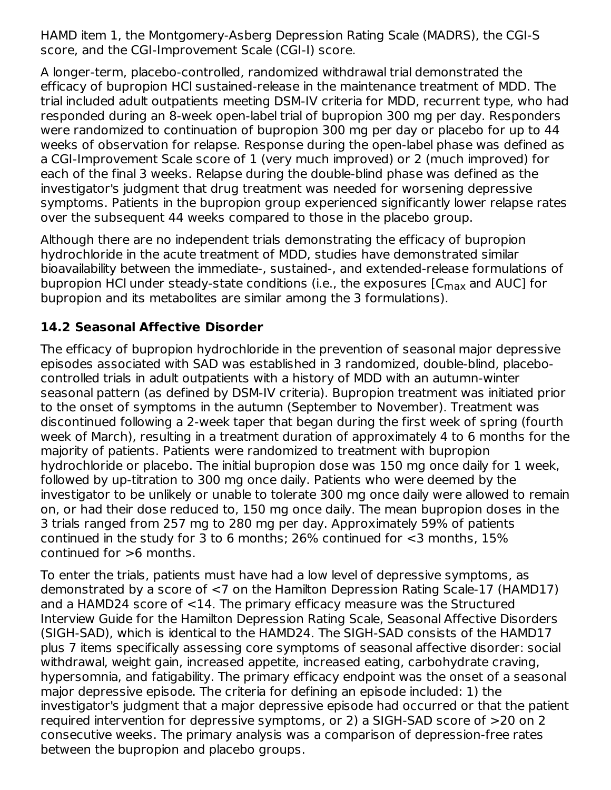HAMD item 1, the Montgomery-Asberg Depression Rating Scale (MADRS), the CGI-S score, and the CGI-Improvement Scale (CGI-I) score.

A longer-term, placebo-controlled, randomized withdrawal trial demonstrated the efficacy of bupropion HCl sustained-release in the maintenance treatment of MDD. The trial included adult outpatients meeting DSM-IV criteria for MDD, recurrent type, who had responded during an 8-week open-label trial of bupropion 300 mg per day. Responders were randomized to continuation of bupropion 300 mg per day or placebo for up to 44 weeks of observation for relapse. Response during the open-label phase was defined as a CGI-Improvement Scale score of 1 (very much improved) or 2 (much improved) for each of the final 3 weeks. Relapse during the double-blind phase was defined as the investigator's judgment that drug treatment was needed for worsening depressive symptoms. Patients in the bupropion group experienced significantly lower relapse rates over the subsequent 44 weeks compared to those in the placebo group.

Although there are no independent trials demonstrating the efficacy of bupropion hydrochloride in the acute treatment of MDD, studies have demonstrated similar bioavailability between the immediate-, sustained-, and extended-release formulations of bupropion HCl under steady-state conditions (i.e., the exposures [C<sub>max</sub> and AUC] for bupropion and its metabolites are similar among the 3 formulations).

# **14.2 Seasonal Affective Disorder**

The efficacy of bupropion hydrochloride in the prevention of seasonal major depressive episodes associated with SAD was established in 3 randomized, double-blind, placebocontrolled trials in adult outpatients with a history of MDD with an autumn-winter seasonal pattern (as defined by DSM-IV criteria). Bupropion treatment was initiated prior to the onset of symptoms in the autumn (September to November). Treatment was discontinued following a 2-week taper that began during the first week of spring (fourth week of March), resulting in a treatment duration of approximately 4 to 6 months for the majority of patients. Patients were randomized to treatment with bupropion hydrochloride or placebo. The initial bupropion dose was 150 mg once daily for 1 week, followed by up-titration to 300 mg once daily. Patients who were deemed by the investigator to be unlikely or unable to tolerate 300 mg once daily were allowed to remain on, or had their dose reduced to, 150 mg once daily. The mean bupropion doses in the 3 trials ranged from 257 mg to 280 mg per day. Approximately 59% of patients continued in the study for 3 to 6 months; 26% continued for <3 months, 15% continued for >6 months.

To enter the trials, patients must have had a low level of depressive symptoms, as demonstrated by a score of <7 on the Hamilton Depression Rating Scale-17 (HAMD17) and a HAMD24 score of <14. The primary efficacy measure was the Structured Interview Guide for the Hamilton Depression Rating Scale, Seasonal Affective Disorders (SIGH-SAD), which is identical to the HAMD24. The SIGH-SAD consists of the HAMD17 plus 7 items specifically assessing core symptoms of seasonal affective disorder: social withdrawal, weight gain, increased appetite, increased eating, carbohydrate craving, hypersomnia, and fatigability. The primary efficacy endpoint was the onset of a seasonal major depressive episode. The criteria for defining an episode included: 1) the investigator's judgment that a major depressive episode had occurred or that the patient required intervention for depressive symptoms, or 2) a SIGH-SAD score of >20 on 2 consecutive weeks. The primary analysis was a comparison of depression-free rates between the bupropion and placebo groups.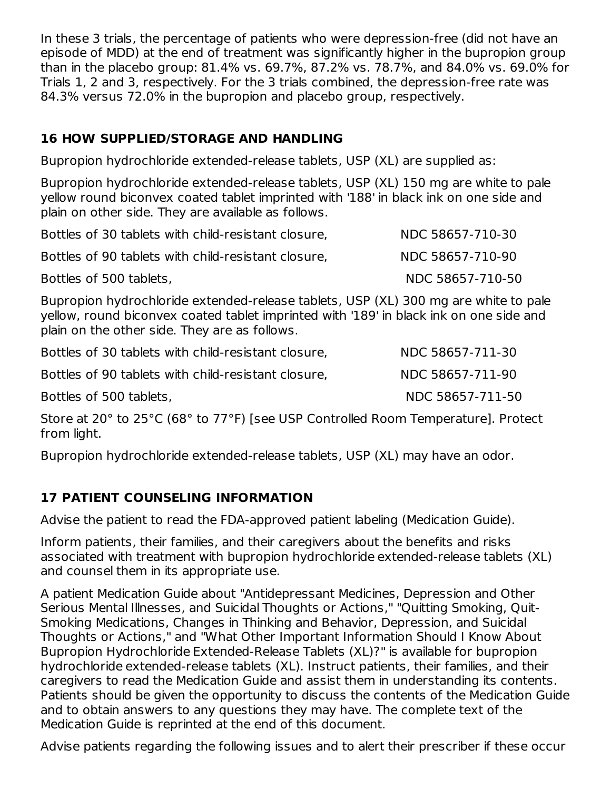In these 3 trials, the percentage of patients who were depression-free (did not have an episode of MDD) at the end of treatment was significantly higher in the bupropion group than in the placebo group: 81.4% vs. 69.7%, 87.2% vs. 78.7%, and 84.0% vs. 69.0% for Trials 1, 2 and 3, respectively. For the 3 trials combined, the depression-free rate was 84.3% versus 72.0% in the bupropion and placebo group, respectively.

## **16 HOW SUPPLIED/STORAGE AND HANDLING**

Bupropion hydrochloride extended-release tablets, USP (XL) are supplied as:

Bupropion hydrochloride extended-release tablets, USP (XL) 150 mg are white to pale yellow round biconvex coated tablet imprinted with '188' in black ink on one side and plain on other side. They are available as follows.

| Bottles of 30 tablets with child-resistant closure, | NDC 58657-710-30 |
|-----------------------------------------------------|------------------|
| Bottles of 90 tablets with child-resistant closure, | NDC 58657-710-90 |
| Bottles of 500 tablets,                             | NDC 58657-710-50 |

Bupropion hydrochloride extended-release tablets, USP (XL) 300 mg are white to pale yellow, round biconvex coated tablet imprinted with '189' in black ink on one side and plain on the other side. They are as follows.

| Bottles of 30 tablets with child-resistant closure, | NDC 58657-711-30 |
|-----------------------------------------------------|------------------|
| Bottles of 90 tablets with child-resistant closure, | NDC 58657-711-90 |
| Bottles of 500 tablets,                             | NDC 58657-711-50 |

Store at 20° to 25°C (68° to 77°F) [see USP Controlled Room Temperature]. Protect from light.

Bupropion hydrochloride extended-release tablets, USP (XL) may have an odor.

# **17 PATIENT COUNSELING INFORMATION**

Advise the patient to read the FDA-approved patient labeling (Medication Guide).

Inform patients, their families, and their caregivers about the benefits and risks associated with treatment with bupropion hydrochloride extended-release tablets (XL) and counsel them in its appropriate use.

A patient Medication Guide about "Antidepressant Medicines, Depression and Other Serious Mental Illnesses, and Suicidal Thoughts or Actions," "Quitting Smoking, Quit-Smoking Medications, Changes in Thinking and Behavior, Depression, and Suicidal Thoughts or Actions," and "What Other Important Information Should I Know About Bupropion Hydrochloride Extended-Release Tablets (XL)?" is available for bupropion hydrochloride extended-release tablets (XL). Instruct patients, their families, and their caregivers to read the Medication Guide and assist them in understanding its contents. Patients should be given the opportunity to discuss the contents of the Medication Guide and to obtain answers to any questions they may have. The complete text of the Medication Guide is reprinted at the end of this document.

Advise patients regarding the following issues and to alert their prescriber if these occur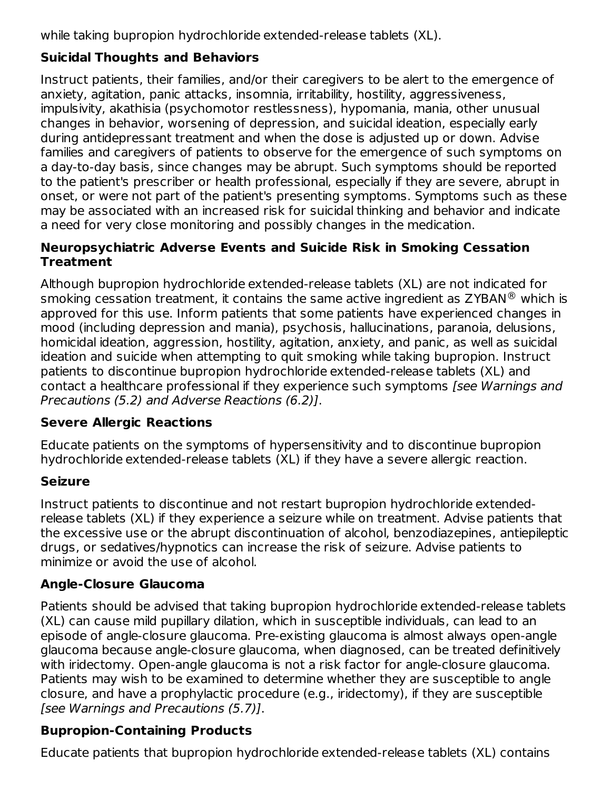while taking bupropion hydrochloride extended-release tablets (XL).

## **Suicidal Thoughts and Behaviors**

Instruct patients, their families, and/or their caregivers to be alert to the emergence of anxiety, agitation, panic attacks, insomnia, irritability, hostility, aggressiveness, impulsivity, akathisia (psychomotor restlessness), hypomania, mania, other unusual changes in behavior, worsening of depression, and suicidal ideation, especially early during antidepressant treatment and when the dose is adjusted up or down. Advise families and caregivers of patients to observe for the emergence of such symptoms on a day-to-day basis, since changes may be abrupt. Such symptoms should be reported to the patient's prescriber or health professional, especially if they are severe, abrupt in onset, or were not part of the patient's presenting symptoms. Symptoms such as these may be associated with an increased risk for suicidal thinking and behavior and indicate a need for very close monitoring and possibly changes in the medication.

## **Neuropsychiatric Adverse Events and Suicide Risk in Smoking Cessation Treatment**

Although bupropion hydrochloride extended-release tablets (XL) are not indicated for smoking cessation treatment, it contains the same active ingredient as  $\mathsf{ZYBAN}^{\circledR}$  which is approved for this use. Inform patients that some patients have experienced changes in mood (including depression and mania), psychosis, hallucinations, paranoia, delusions, homicidal ideation, aggression, hostility, agitation, anxiety, and panic, as well as suicidal ideation and suicide when attempting to quit smoking while taking bupropion. Instruct patients to discontinue bupropion hydrochloride extended-release tablets (XL) and contact a healthcare professional if they experience such symptoms [see Warnings and Precautions (5.2) and Adverse Reactions (6.2)].

## **Severe Allergic Reactions**

Educate patients on the symptoms of hypersensitivity and to discontinue bupropion hydrochloride extended-release tablets (XL) if they have a severe allergic reaction.

# **Seizure**

Instruct patients to discontinue and not restart bupropion hydrochloride extendedrelease tablets (XL) if they experience a seizure while on treatment. Advise patients that the excessive use or the abrupt discontinuation of alcohol, benzodiazepines, antiepileptic drugs, or sedatives/hypnotics can increase the risk of seizure. Advise patients to minimize or avoid the use of alcohol.

# **Angle-Closure Glaucoma**

Patients should be advised that taking bupropion hydrochloride extended-release tablets (XL) can cause mild pupillary dilation, which in susceptible individuals, can lead to an episode of angle-closure glaucoma. Pre-existing glaucoma is almost always open-angle glaucoma because angle-closure glaucoma, when diagnosed, can be treated definitively with iridectomy. Open-angle glaucoma is not a risk factor for angle-closure glaucoma. Patients may wish to be examined to determine whether they are susceptible to angle closure, and have a prophylactic procedure (e.g., iridectomy), if they are susceptible [see Warnings and Precautions (5.7)].

# **Bupropion-Containing Products**

Educate patients that bupropion hydrochloride extended-release tablets (XL) contains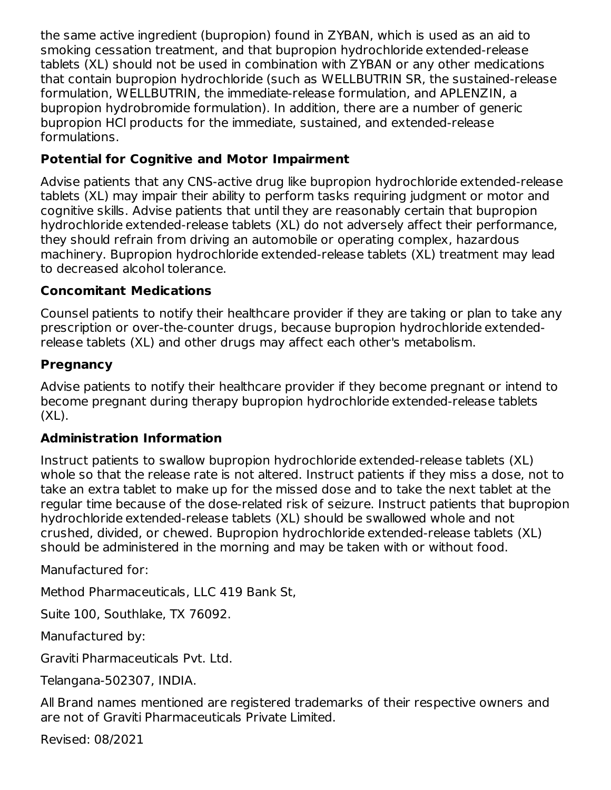the same active ingredient (bupropion) found in ZYBAN, which is used as an aid to smoking cessation treatment, and that bupropion hydrochloride extended-release tablets (XL) should not be used in combination with ZYBAN or any other medications that contain bupropion hydrochloride (such as WELLBUTRIN SR, the sustained-release formulation, WELLBUTRIN, the immediate-release formulation, and APLENZIN, a bupropion hydrobromide formulation). In addition, there are a number of generic bupropion HCl products for the immediate, sustained, and extended-release formulations.

## **Potential for Cognitive and Motor Impairment**

Advise patients that any CNS-active drug like bupropion hydrochloride extended-release tablets (XL) may impair their ability to perform tasks requiring judgment or motor and cognitive skills. Advise patients that until they are reasonably certain that bupropion hydrochloride extended-release tablets (XL) do not adversely affect their performance, they should refrain from driving an automobile or operating complex, hazardous machinery. Bupropion hydrochloride extended-release tablets (XL) treatment may lead to decreased alcohol tolerance.

### **Concomitant Medications**

Counsel patients to notify their healthcare provider if they are taking or plan to take any prescription or over-the-counter drugs, because bupropion hydrochloride extendedrelease tablets (XL) and other drugs may affect each other's metabolism.

## **Pregnancy**

Advise patients to notify their healthcare provider if they become pregnant or intend to become pregnant during therapy bupropion hydrochloride extended-release tablets  $(XL)$ .

### **Administration Information**

Instruct patients to swallow bupropion hydrochloride extended-release tablets (XL) whole so that the release rate is not altered. Instruct patients if they miss a dose, not to take an extra tablet to make up for the missed dose and to take the next tablet at the regular time because of the dose-related risk of seizure. Instruct patients that bupropion hydrochloride extended-release tablets (XL) should be swallowed whole and not crushed, divided, or chewed. Bupropion hydrochloride extended-release tablets (XL) should be administered in the morning and may be taken with or without food.

Manufactured for:

Method Pharmaceuticals, LLC 419 Bank St,

Suite 100, Southlake, TX 76092.

Manufactured by:

Graviti Pharmaceuticals Pvt. Ltd.

Telangana-502307, INDIA.

All Brand names mentioned are registered trademarks of their respective owners and are not of Graviti Pharmaceuticals Private Limited.

Revised: 08/2021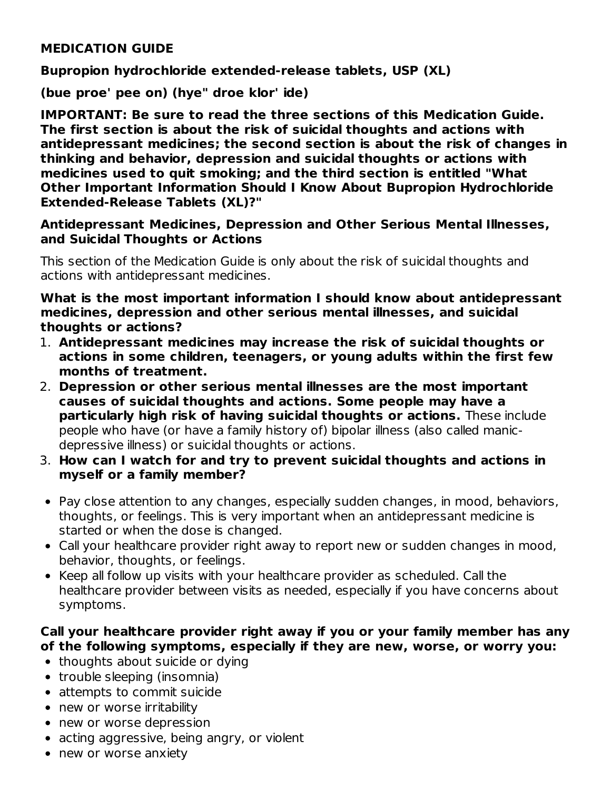#### **MEDICATION GUIDE**

**Bupropion hydrochloride extended-release tablets, USP (XL)**

**(bue proe' pee on) (hye" droe klor' ide)**

**IMPORTANT: Be sure to read the three sections of this Medication Guide. The first section is about the risk of suicidal thoughts and actions with antidepressant medicines; the second section is about the risk of changes in thinking and behavior, depression and suicidal thoughts or actions with medicines used to quit smoking; and the third section is entitled "What Other Important Information Should I Know About Bupropion Hydrochloride Extended-Release Tablets (XL)?"**

#### **Antidepressant Medicines, Depression and Other Serious Mental Illnesses, and Suicidal Thoughts or Actions**

This section of the Medication Guide is only about the risk of suicidal thoughts and actions with antidepressant medicines.

**What is the most important information I should know about antidepressant medicines, depression and other serious mental illnesses, and suicidal thoughts or actions?**

- 1. **Antidepressant medicines may increase the risk of suicidal thoughts or actions in some children, teenagers, or young adults within the first few months of treatment.**
- 2. **Depression or other serious mental illnesses are the most important causes of suicidal thoughts and actions. Some people may have a particularly high risk of having suicidal thoughts or actions.** These include people who have (or have a family history of) bipolar illness (also called manicdepressive illness) or suicidal thoughts or actions.
- 3. **How can I watch for and try to prevent suicidal thoughts and actions in myself or a family member?**
- Pay close attention to any changes, especially sudden changes, in mood, behaviors, thoughts, or feelings. This is very important when an antidepressant medicine is started or when the dose is changed.
- Call your healthcare provider right away to report new or sudden changes in mood, behavior, thoughts, or feelings.
- Keep all follow up visits with your healthcare provider as scheduled. Call the healthcare provider between visits as needed, especially if you have concerns about symptoms.

### **Call your healthcare provider right away if you or your family member has any of the following symptoms, especially if they are new, worse, or worry you:**

- thoughts about suicide or dying
- trouble sleeping (insomnia)
- attempts to commit suicide
- new or worse irritability
- new or worse depression
- acting aggressive, being angry, or violent
- new or worse anxiety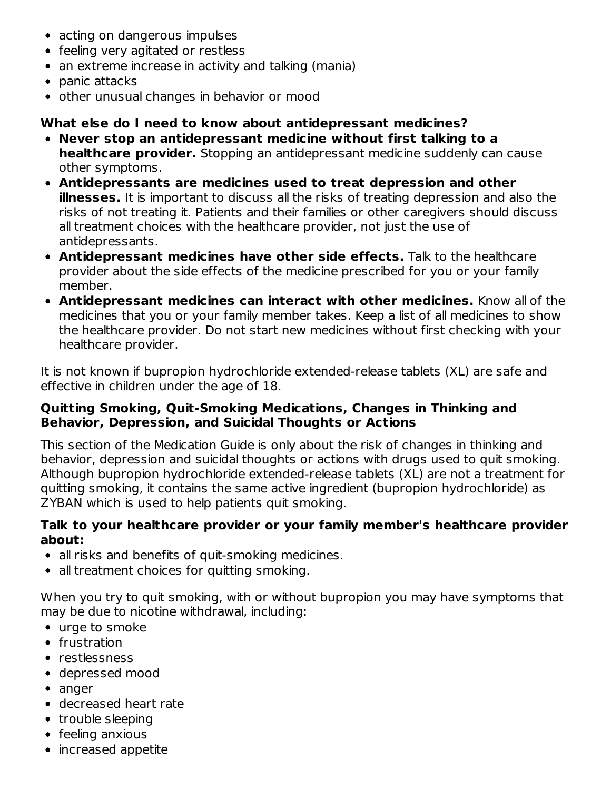- acting on dangerous impulses
- feeling very agitated or restless
- an extreme increase in activity and talking (mania)
- panic attacks
- other unusual changes in behavior or mood

### **What else do I need to know about antidepressant medicines?**

- **Never stop an antidepressant medicine without first talking to a healthcare provider.** Stopping an antidepressant medicine suddenly can cause other symptoms.
- **Antidepressants are medicines used to treat depression and other illnesses.** It is important to discuss all the risks of treating depression and also the risks of not treating it. Patients and their families or other caregivers should discuss all treatment choices with the healthcare provider, not just the use of antidepressants.
- **Antidepressant medicines have other side effects.** Talk to the healthcare provider about the side effects of the medicine prescribed for you or your family member.
- **Antidepressant medicines can interact with other medicines.** Know all of the medicines that you or your family member takes. Keep a list of all medicines to show the healthcare provider. Do not start new medicines without first checking with your healthcare provider.

It is not known if bupropion hydrochloride extended-release tablets (XL) are safe and effective in children under the age of 18.

## **Quitting Smoking, Quit-Smoking Medications, Changes in Thinking and Behavior, Depression, and Suicidal Thoughts or Actions**

This section of the Medication Guide is only about the risk of changes in thinking and behavior, depression and suicidal thoughts or actions with drugs used to quit smoking. Although bupropion hydrochloride extended-release tablets (XL) are not a treatment for quitting smoking, it contains the same active ingredient (bupropion hydrochloride) as ZYBAN which is used to help patients quit smoking.

#### **Talk to your healthcare provider or your family member's healthcare provider about:**

- all risks and benefits of quit-smoking medicines.
- all treatment choices for quitting smoking.

When you try to quit smoking, with or without bupropion you may have symptoms that may be due to nicotine withdrawal, including:

- urge to smoke
- frustration
- restlessness
- depressed mood
- anger
- decreased heart rate
- trouble sleeping
- feeling anxious
- increased appetite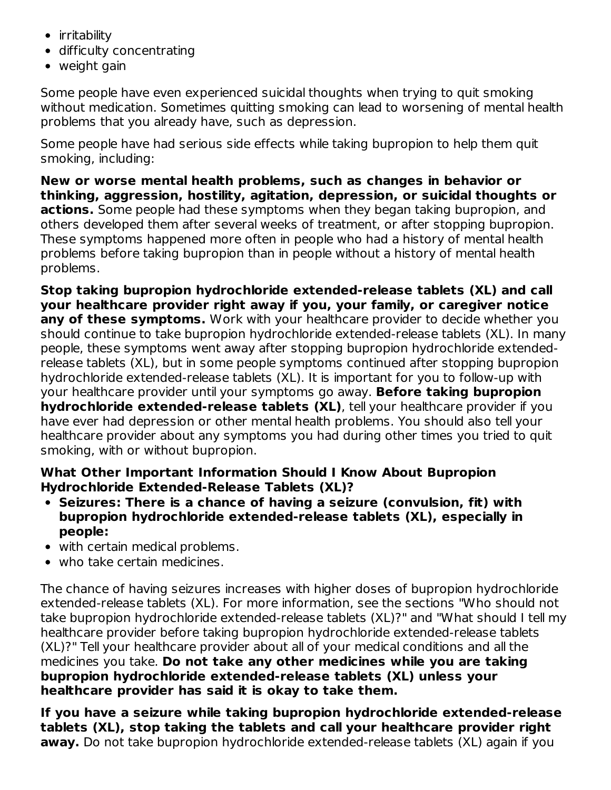- irritability
- difficulty concentrating
- weight gain

Some people have even experienced suicidal thoughts when trying to quit smoking without medication. Sometimes quitting smoking can lead to worsening of mental health problems that you already have, such as depression.

Some people have had serious side effects while taking bupropion to help them quit smoking, including:

**New or worse mental health problems, such as changes in behavior or thinking, aggression, hostility, agitation, depression, or suicidal thoughts or actions.** Some people had these symptoms when they began taking bupropion, and others developed them after several weeks of treatment, or after stopping bupropion. These symptoms happened more often in people who had a history of mental health problems before taking bupropion than in people without a history of mental health problems.

**Stop taking bupropion hydrochloride extended-release tablets (XL) and call your healthcare provider right away if you, your family, or caregiver notice any of these symptoms.** Work with your healthcare provider to decide whether you should continue to take bupropion hydrochloride extended-release tablets (XL). In many people, these symptoms went away after stopping bupropion hydrochloride extendedrelease tablets (XL), but in some people symptoms continued after stopping bupropion hydrochloride extended-release tablets (XL). It is important for you to follow-up with your healthcare provider until your symptoms go away. **Before taking bupropion hydrochloride extended-release tablets (XL)**, tell your healthcare provider if you have ever had depression or other mental health problems. You should also tell your healthcare provider about any symptoms you had during other times you tried to quit smoking, with or without bupropion.

## **What Other Important Information Should I Know About Bupropion Hydrochloride Extended-Release Tablets (XL)?**

- **Seizures: There is a chance of having a seizure (convulsion, fit) with bupropion hydrochloride extended-release tablets (XL), especially in people:**
- with certain medical problems.
- who take certain medicines.

The chance of having seizures increases with higher doses of bupropion hydrochloride extended-release tablets (XL). For more information, see the sections "Who should not take bupropion hydrochloride extended-release tablets (XL)?" and "What should I tell my healthcare provider before taking bupropion hydrochloride extended-release tablets (XL)?" Tell your healthcare provider about all of your medical conditions and all the medicines you take. **Do not take any other medicines while you are taking bupropion hydrochloride extended-release tablets (XL) unless your healthcare provider has said it is okay to take them.**

**If you have a seizure while taking bupropion hydrochloride extended-release tablets (XL), stop taking the tablets and call your healthcare provider right away.** Do not take bupropion hydrochloride extended-release tablets (XL) again if you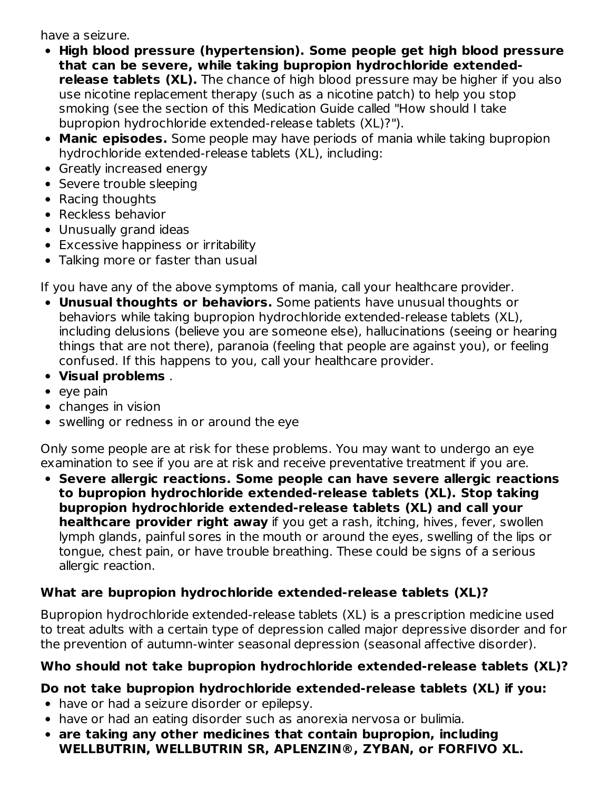have a seizure.

- **High blood pressure (hypertension). Some people get high blood pressure that can be severe, while taking bupropion hydrochloride extendedrelease tablets (XL).** The chance of high blood pressure may be higher if you also use nicotine replacement therapy (such as a nicotine patch) to help you stop smoking (see the section of this Medication Guide called "How should I take bupropion hydrochloride extended-release tablets (XL)?").
- **Manic episodes.** Some people may have periods of mania while taking bupropion hydrochloride extended-release tablets (XL), including:
- Greatly increased energy
- Severe trouble sleeping
- Racing thoughts
- Reckless behavior
- Unusually grand ideas
- Excessive happiness or irritability
- Talking more or faster than usual

If you have any of the above symptoms of mania, call your healthcare provider.

- **Unusual thoughts or behaviors.** Some patients have unusual thoughts or behaviors while taking bupropion hydrochloride extended-release tablets (XL), including delusions (believe you are someone else), hallucinations (seeing or hearing things that are not there), paranoia (feeling that people are against you), or feeling confused. If this happens to you, call your healthcare provider.
- **Visual problems** .
- $\bullet$  eye pain
- changes in vision
- swelling or redness in or around the eye

Only some people are at risk for these problems. You may want to undergo an eye examination to see if you are at risk and receive preventative treatment if you are.

**Severe allergic reactions. Some people can have severe allergic reactions to bupropion hydrochloride extended-release tablets (XL). Stop taking bupropion hydrochloride extended-release tablets (XL) and call your healthcare provider right away** if you get a rash, itching, hives, fever, swollen lymph glands, painful sores in the mouth or around the eyes, swelling of the lips or tongue, chest pain, or have trouble breathing. These could be signs of a serious allergic reaction.

# **What are bupropion hydrochloride extended-release tablets (XL)?**

Bupropion hydrochloride extended-release tablets (XL) is a prescription medicine used to treat adults with a certain type of depression called major depressive disorder and for the prevention of autumn-winter seasonal depression (seasonal affective disorder).

# **Who should not take bupropion hydrochloride extended-release tablets (XL)?**

# **Do not take bupropion hydrochloride extended-release tablets (XL) if you:**

- have or had a seizure disorder or epilepsy.
- have or had an eating disorder such as anorexia nervosa or bulimia.
- **are taking any other medicines that contain bupropion, including WELLBUTRIN, WELLBUTRIN SR, APLENZIN®, ZYBAN, or FORFIVO XL.**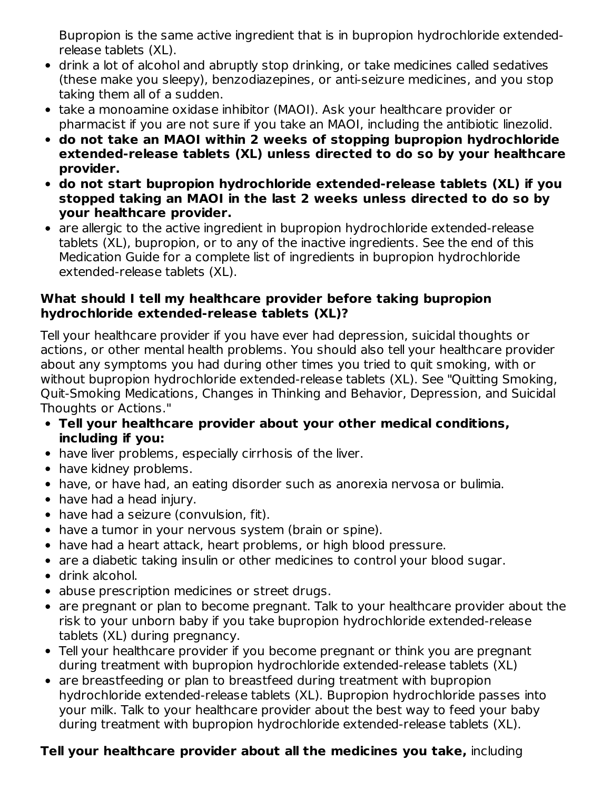Bupropion is the same active ingredient that is in bupropion hydrochloride extendedrelease tablets (XL).

- drink a lot of alcohol and abruptly stop drinking, or take medicines called sedatives (these make you sleepy), benzodiazepines, or anti-seizure medicines, and you stop taking them all of a sudden.
- take a monoamine oxidase inhibitor (MAOI). Ask your healthcare provider or pharmacist if you are not sure if you take an MAOI, including the antibiotic linezolid.
- **do not take an MAOI within 2 weeks of stopping bupropion hydrochloride extended-release tablets (XL) unless directed to do so by your healthcare provider.**
- **do not start bupropion hydrochloride extended-release tablets (XL) if you stopped taking an MAOI in the last 2 weeks unless directed to do so by your healthcare provider.**
- are allergic to the active ingredient in bupropion hydrochloride extended-release tablets (XL), bupropion, or to any of the inactive ingredients. See the end of this Medication Guide for a complete list of ingredients in bupropion hydrochloride extended-release tablets (XL).

## **What should I tell my healthcare provider before taking bupropion hydrochloride extended-release tablets (XL)?**

Tell your healthcare provider if you have ever had depression, suicidal thoughts or actions, or other mental health problems. You should also tell your healthcare provider about any symptoms you had during other times you tried to quit smoking, with or without bupropion hydrochloride extended-release tablets (XL). See "Quitting Smoking, Quit-Smoking Medications, Changes in Thinking and Behavior, Depression, and Suicidal Thoughts or Actions."

- **Tell your healthcare provider about your other medical conditions, including if you:**
- have liver problems, especially cirrhosis of the liver.
- have kidney problems.
- have, or have had, an eating disorder such as anorexia nervosa or bulimia.
- have had a head injury.
- have had a seizure (convulsion, fit).
- have a tumor in your nervous system (brain or spine).
- have had a heart attack, heart problems, or high blood pressure.
- are a diabetic taking insulin or other medicines to control your blood sugar.
- drink alcohol.
- abuse prescription medicines or street drugs.
- are pregnant or plan to become pregnant. Talk to your healthcare provider about the risk to your unborn baby if you take bupropion hydrochloride extended-release tablets (XL) during pregnancy.
- Tell your healthcare provider if you become pregnant or think you are pregnant during treatment with bupropion hydrochloride extended-release tablets (XL)
- are breastfeeding or plan to breastfeed during treatment with bupropion hydrochloride extended-release tablets (XL). Bupropion hydrochloride passes into your milk. Talk to your healthcare provider about the best way to feed your baby during treatment with bupropion hydrochloride extended-release tablets (XL).

# **Tell your healthcare provider about all the medicines you take,** including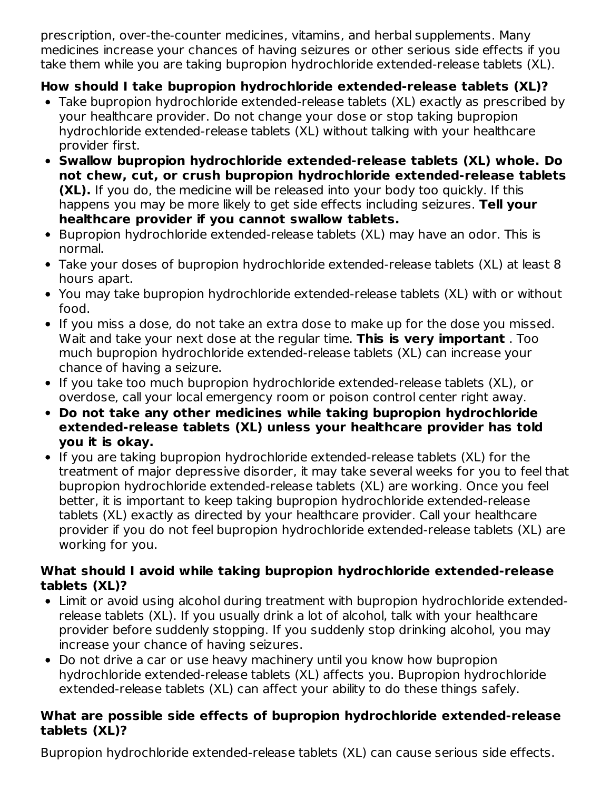prescription, over-the-counter medicines, vitamins, and herbal supplements. Many medicines increase your chances of having seizures or other serious side effects if you take them while you are taking bupropion hydrochloride extended-release tablets (XL).

# **How should I take bupropion hydrochloride extended-release tablets (XL)?**

- Take bupropion hydrochloride extended-release tablets (XL) exactly as prescribed by your healthcare provider. Do not change your dose or stop taking bupropion hydrochloride extended-release tablets (XL) without talking with your healthcare provider first.
- **Swallow bupropion hydrochloride extended-release tablets (XL) whole. Do not chew, cut, or crush bupropion hydrochloride extended-release tablets (XL).** If you do, the medicine will be released into your body too quickly. If this happens you may be more likely to get side effects including seizures. **Tell your healthcare provider if you cannot swallow tablets.**
- Bupropion hydrochloride extended-release tablets (XL) may have an odor. This is normal.
- Take your doses of bupropion hydrochloride extended-release tablets (XL) at least 8 hours apart.
- You may take bupropion hydrochloride extended-release tablets (XL) with or without food.
- If you miss a dose, do not take an extra dose to make up for the dose you missed. Wait and take your next dose at the regular time. **This is very important** . Too much bupropion hydrochloride extended-release tablets (XL) can increase your chance of having a seizure.
- If you take too much bupropion hydrochloride extended-release tablets (XL), or overdose, call your local emergency room or poison control center right away.
- **Do not take any other medicines while taking bupropion hydrochloride extended-release tablets (XL) unless your healthcare provider has told you it is okay.**
- If you are taking bupropion hydrochloride extended-release tablets (XL) for the treatment of major depressive disorder, it may take several weeks for you to feel that bupropion hydrochloride extended-release tablets (XL) are working. Once you feel better, it is important to keep taking bupropion hydrochloride extended-release tablets (XL) exactly as directed by your healthcare provider. Call your healthcare provider if you do not feel bupropion hydrochloride extended-release tablets (XL) are working for you.

## **What should I avoid while taking bupropion hydrochloride extended-release tablets (XL)?**

- Limit or avoid using alcohol during treatment with bupropion hydrochloride extendedrelease tablets (XL). If you usually drink a lot of alcohol, talk with your healthcare provider before suddenly stopping. If you suddenly stop drinking alcohol, you may increase your chance of having seizures.
- Do not drive a car or use heavy machinery until you know how bupropion hydrochloride extended-release tablets (XL) affects you. Bupropion hydrochloride extended-release tablets (XL) can affect your ability to do these things safely.

### **What are possible side effects of bupropion hydrochloride extended-release tablets (XL)?**

Bupropion hydrochloride extended-release tablets (XL) can cause serious side effects.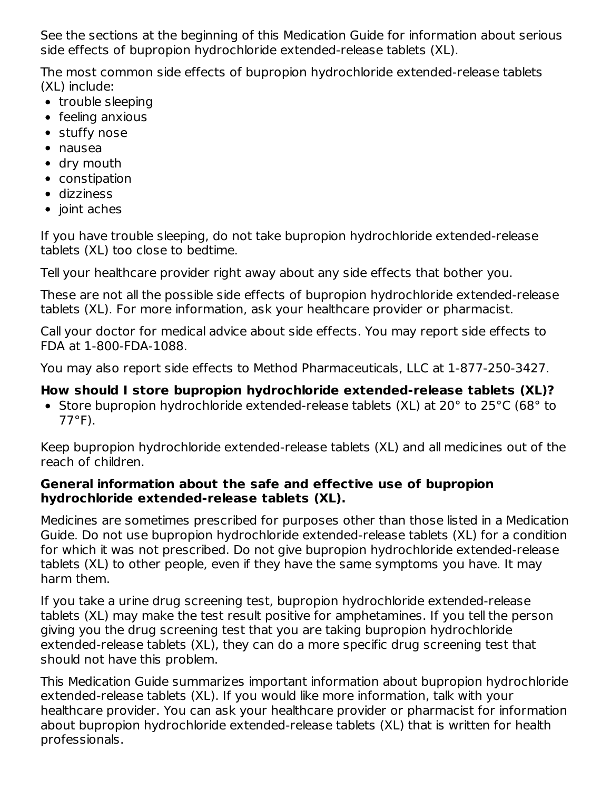See the sections at the beginning of this Medication Guide for information about serious side effects of bupropion hydrochloride extended-release tablets (XL).

The most common side effects of bupropion hydrochloride extended-release tablets (XL) include:

- trouble sleeping
- feeling anxious
- stuffy nose
- nausea
- dry mouth
- constipation
- dizziness
- joint aches

If you have trouble sleeping, do not take bupropion hydrochloride extended-release tablets (XL) too close to bedtime.

Tell your healthcare provider right away about any side effects that bother you.

These are not all the possible side effects of bupropion hydrochloride extended-release tablets (XL). For more information, ask your healthcare provider or pharmacist.

Call your doctor for medical advice about side effects. You may report side effects to FDA at 1-800-FDA-1088.

You may also report side effects to Method Pharmaceuticals, LLC at 1-877-250-3427.

# **How should I store bupropion hydrochloride extended-release tablets (XL)?**

• Store bupropion hydrochloride extended-release tablets (XL) at 20° to 25°C (68° to 77°F).

Keep bupropion hydrochloride extended-release tablets (XL) and all medicines out of the reach of children.

### **General information about the safe and effective use of bupropion hydrochloride extended-release tablets (XL).**

Medicines are sometimes prescribed for purposes other than those listed in a Medication Guide. Do not use bupropion hydrochloride extended-release tablets (XL) for a condition for which it was not prescribed. Do not give bupropion hydrochloride extended-release tablets (XL) to other people, even if they have the same symptoms you have. It may harm them.

If you take a urine drug screening test, bupropion hydrochloride extended-release tablets (XL) may make the test result positive for amphetamines. If you tell the person giving you the drug screening test that you are taking bupropion hydrochloride extended-release tablets (XL), they can do a more specific drug screening test that should not have this problem.

This Medication Guide summarizes important information about bupropion hydrochloride extended-release tablets (XL). If you would like more information, talk with your healthcare provider. You can ask your healthcare provider or pharmacist for information about bupropion hydrochloride extended-release tablets (XL) that is written for health professionals.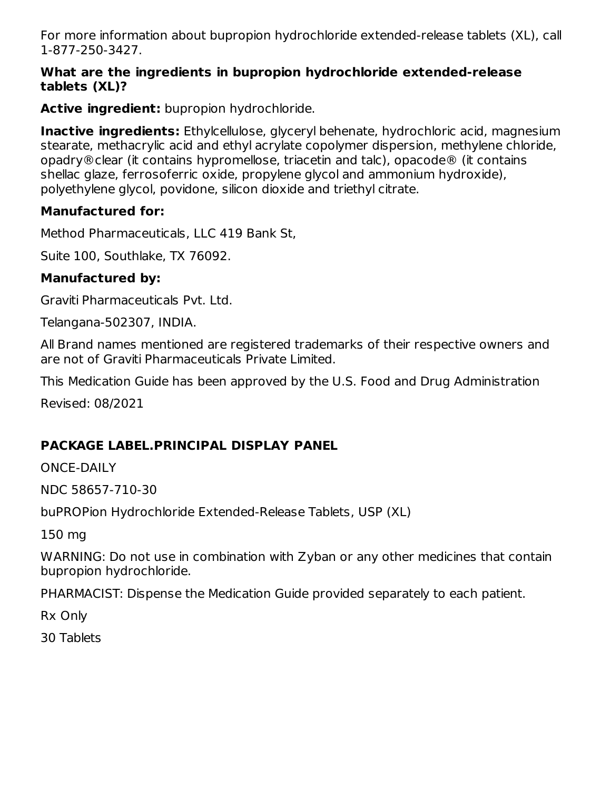For more information about bupropion hydrochloride extended-release tablets (XL), call 1-877-250-3427.

### **What are the ingredients in bupropion hydrochloride extended-release tablets (XL)?**

**Active ingredient:** bupropion hydrochloride.

**Inactive ingredients:** Ethylcellulose, glyceryl behenate, hydrochloric acid, magnesium stearate, methacrylic acid and ethyl acrylate copolymer dispersion, methylene chloride, opadry®clear (it contains hypromellose, triacetin and talc), opacode® (it contains shellac glaze, ferrosoferric oxide, propylene glycol and ammonium hydroxide), polyethylene glycol, povidone, silicon dioxide and triethyl citrate.

## **Manufactured for:**

Method Pharmaceuticals, LLC 419 Bank St,

Suite 100, Southlake, TX 76092.

# **Manufactured by:**

Graviti Pharmaceuticals Pvt. Ltd.

Telangana-502307, INDIA.

All Brand names mentioned are registered trademarks of their respective owners and are not of Graviti Pharmaceuticals Private Limited.

This Medication Guide has been approved by the U.S. Food and Drug Administration

Revised: 08/2021

# **PACKAGE LABEL.PRINCIPAL DISPLAY PANEL**

ONCE-DAILY

NDC 58657-710-30

buPROPion Hydrochloride Extended-Release Tablets, USP (XL)

150 mg

WARNING: Do not use in combination with Zyban or any other medicines that contain bupropion hydrochloride.

PHARMACIST: Dispense the Medication Guide provided separately to each patient.

Rx Only

30 Tablets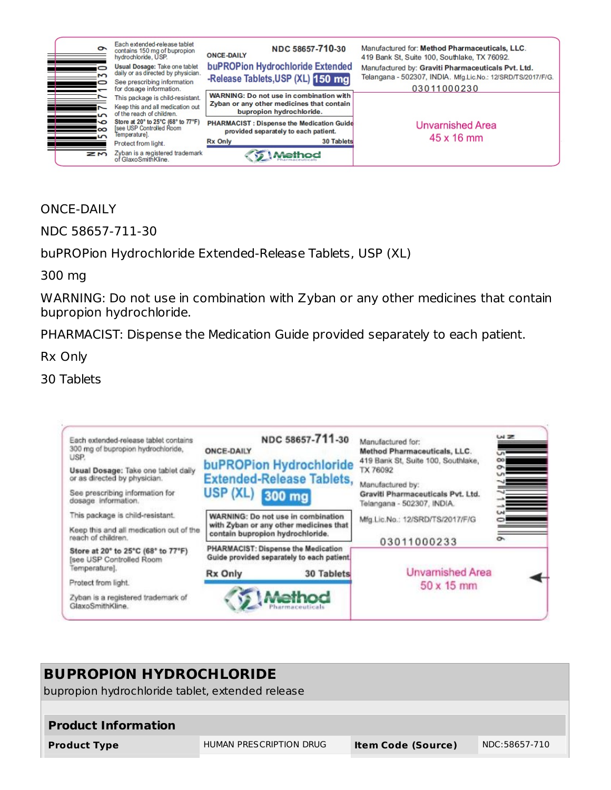

#### ONCE-DAILY

NDC 58657-711-30

buPROPion Hydrochloride Extended-Release Tablets, USP (XL)

300 mg

WARNING: Do not use in combination with Zyban or any other medicines that contain bupropion hydrochloride.

PHARMACIST: Dispense the Medication Guide provided separately to each patient.

Rx Only

#### 30 Tablets



# **BUPROPION HYDROCHLORIDE**

bupropion hydrochloride tablet, extended release

| <b>Product Information</b> |                         |                           |               |  |
|----------------------------|-------------------------|---------------------------|---------------|--|
| <b>Product Type</b>        | HUMAN PRESCRIPTION DRUG | <b>Item Code (Source)</b> | NDC:58657-710 |  |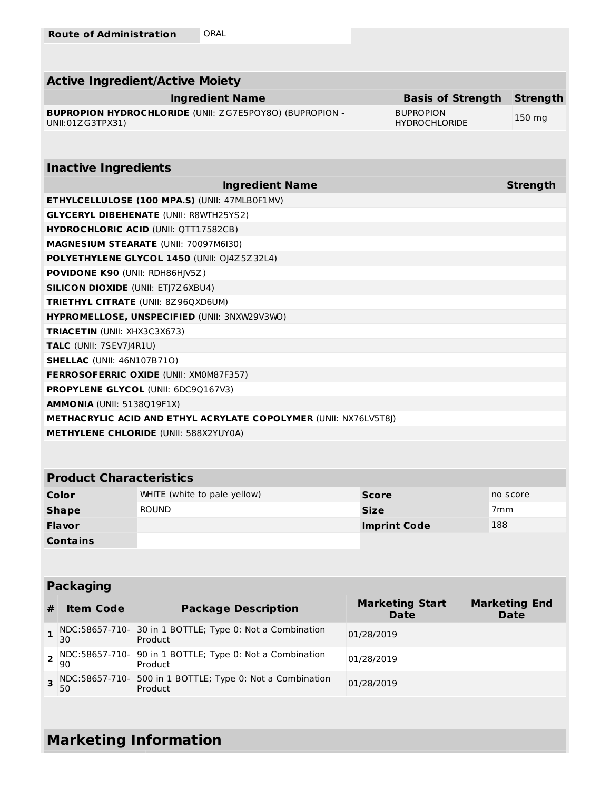|                                                    |                                                                                             | <b>Active Ingredient/Active Moiety</b>                                  |              |                                          |                 |                 |  |
|----------------------------------------------------|---------------------------------------------------------------------------------------------|-------------------------------------------------------------------------|--------------|------------------------------------------|-----------------|-----------------|--|
| <b>Ingredient Name</b><br><b>Basis of Strength</b> |                                                                                             |                                                                         |              |                                          | <b>Strength</b> |                 |  |
|                                                    | UNII:01ZG3TPX31)                                                                            | <b>BUPROPION HYDROCHLORIDE (UNII: ZG7E5POY8O) (BUPROPION -</b>          |              | <b>BUPROPION</b><br><b>HYDROCHLORIDE</b> |                 | 150 mg          |  |
|                                                    |                                                                                             |                                                                         |              |                                          |                 |                 |  |
|                                                    |                                                                                             |                                                                         |              |                                          |                 |                 |  |
|                                                    | <b>Inactive Ingredients</b>                                                                 |                                                                         |              |                                          |                 |                 |  |
|                                                    |                                                                                             | <b>Ingredient Name</b>                                                  |              |                                          |                 | <b>Strength</b> |  |
|                                                    |                                                                                             | ETHYLCELLULOSE (100 MPA.S) (UNII: 47MLB0F1MV)                           |              |                                          |                 |                 |  |
|                                                    |                                                                                             | <b>GLYCERYL DIBEHENATE (UNII: R8WTH25YS2)</b>                           |              |                                          |                 |                 |  |
|                                                    |                                                                                             | <b>HYDROCHLORIC ACID (UNII: QTT17582CB)</b>                             |              |                                          |                 |                 |  |
|                                                    |                                                                                             | <b>MAGNESIUM STEARATE (UNII: 70097M6I30)</b>                            |              |                                          |                 |                 |  |
|                                                    |                                                                                             | POLYETHYLENE GLYCOL 1450 (UNII: 0)4Z5Z32L4)                             |              |                                          |                 |                 |  |
|                                                    | <b>POVIDONE K90 (UNII: RDH86HJV5Z)</b>                                                      |                                                                         |              |                                          |                 |                 |  |
|                                                    |                                                                                             | <b>SILICON DIOXIDE (UNII: ETJ7Z6XBU4)</b>                               |              |                                          |                 |                 |  |
|                                                    |                                                                                             | <b>TRIETHYL CITRATE (UNII: 8Z96QXD6UM)</b>                              |              |                                          |                 |                 |  |
|                                                    |                                                                                             | HYPROMELLOSE, UNSPECIFIED (UNII: 3NXW29V3WO)                            |              |                                          |                 |                 |  |
|                                                    | <b>TRIACETIN (UNII: XHX3C3X673)</b>                                                         |                                                                         |              |                                          |                 |                 |  |
|                                                    | <b>TALC</b> (UNII: 7SEV7J4R1U)                                                              |                                                                         |              |                                          |                 |                 |  |
|                                                    | <b>SHELLAC (UNII: 46N107B710)</b>                                                           |                                                                         |              |                                          |                 |                 |  |
|                                                    |                                                                                             | <b>FERROSOFERRIC OXIDE (UNII: XM0M87F357)</b>                           |              |                                          |                 |                 |  |
|                                                    |                                                                                             | <b>PROPYLENE GLYCOL (UNII: 6DC9Q167V3)</b>                              |              |                                          |                 |                 |  |
|                                                    | <b>AMMONIA (UNII: 5138Q19F1X)</b>                                                           |                                                                         |              |                                          |                 |                 |  |
|                                                    |                                                                                             | <b>METHACRYLIC ACID AND ETHYL ACRYLATE COPOLYMER (UNII: NX76LV5T8J)</b> |              |                                          |                 |                 |  |
|                                                    |                                                                                             | <b>METHYLENE CHLORIDE (UNII: 588X2YUY0A)</b>                            |              |                                          |                 |                 |  |
|                                                    |                                                                                             |                                                                         |              |                                          |                 |                 |  |
|                                                    | <b>Product Characteristics</b>                                                              |                                                                         |              |                                          |                 |                 |  |
|                                                    |                                                                                             |                                                                         |              |                                          |                 |                 |  |
|                                                    | <b>Color</b>                                                                                | WHITE (white to pale yellow)                                            | <b>Score</b> |                                          |                 | no score        |  |
|                                                    | <b>Shape</b>                                                                                | <b>ROUND</b>                                                            | <b>Size</b>  |                                          | 7 <sub>mm</sub> |                 |  |
|                                                    | Flavor                                                                                      |                                                                         |              | <b>Imprint Code</b>                      | 188             |                 |  |
|                                                    | <b>Contains</b>                                                                             |                                                                         |              |                                          |                 |                 |  |
|                                                    |                                                                                             |                                                                         |              |                                          |                 |                 |  |
|                                                    | <b>Packaging</b>                                                                            |                                                                         |              |                                          |                 |                 |  |
| <b>Marketing Start</b><br><b>Marketing End</b>     |                                                                                             |                                                                         |              |                                          |                 |                 |  |
| #                                                  | <b>Item Code</b>                                                                            | <b>Package Description</b>                                              |              | <b>Date</b>                              |                 | <b>Date</b>     |  |
| $\mathbf{1}$                                       | NDC:58657-710-<br>30                                                                        | 30 in 1 BOTTLE; Type 0: Not a Combination<br>Product                    | 01/28/2019   |                                          |                 |                 |  |
| $\mathbf 2$                                        | NDC:58657-710-<br>90                                                                        | 90 in 1 BOTTLE; Type 0: Not a Combination<br>Product                    | 01/28/2019   |                                          |                 |                 |  |
| 3                                                  | 500 in 1 BOTTLE; Type 0: Not a Combination<br>NDC:58657-710-<br>01/28/2019<br>50<br>Product |                                                                         |              |                                          |                 |                 |  |
|                                                    |                                                                                             |                                                                         |              |                                          |                 |                 |  |

# **Marketing Information**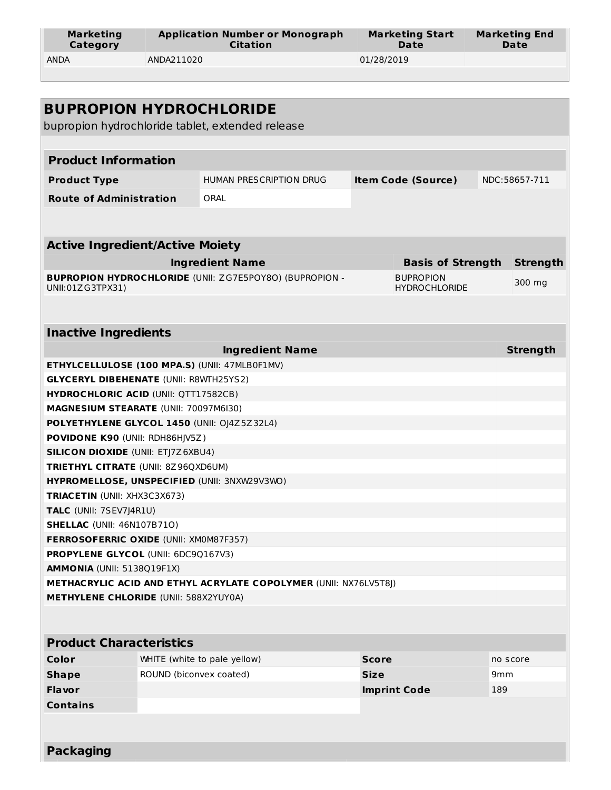| <b>Marketing</b><br>Category                                                 |                                                             | <b>Application Number or Monograph</b><br><b>Citation</b>      |                             | <b>Marketing Start</b><br>Date |  | <b>Marketing End</b><br>Date |  |  |  |
|------------------------------------------------------------------------------|-------------------------------------------------------------|----------------------------------------------------------------|-----------------------------|--------------------------------|--|------------------------------|--|--|--|
| <b>ANDA</b>                                                                  | ANDA211020                                                  |                                                                | 01/28/2019                  |                                |  |                              |  |  |  |
|                                                                              |                                                             |                                                                |                             |                                |  |                              |  |  |  |
|                                                                              |                                                             |                                                                |                             |                                |  |                              |  |  |  |
| <b>BUPROPION HYDROCHLORIDE</b>                                               |                                                             |                                                                |                             |                                |  |                              |  |  |  |
|                                                                              |                                                             | bupropion hydrochloride tablet, extended release               |                             |                                |  |                              |  |  |  |
|                                                                              |                                                             |                                                                |                             |                                |  |                              |  |  |  |
| <b>Product Information</b>                                                   |                                                             |                                                                |                             |                                |  |                              |  |  |  |
| <b>Product Type</b>                                                          | <b>HUMAN PRESCRIPTION DRUG</b><br><b>Item Code (Source)</b> |                                                                |                             | NDC:58657-711                  |  |                              |  |  |  |
|                                                                              | <b>Route of Administration</b><br>ORAL                      |                                                                |                             |                                |  |                              |  |  |  |
|                                                                              |                                                             |                                                                |                             |                                |  |                              |  |  |  |
|                                                                              |                                                             |                                                                |                             |                                |  |                              |  |  |  |
| <b>Active Ingredient/Active Moiety</b>                                       |                                                             |                                                                |                             |                                |  |                              |  |  |  |
|                                                                              |                                                             | <b>Ingredient Name</b>                                         |                             | <b>Basis of Strength</b>       |  | <b>Strength</b>              |  |  |  |
|                                                                              |                                                             | <b>BUPROPION HYDROCHLORIDE (UNII: ZG7E5POY8O) (BUPROPION -</b> |                             | <b>BUPROPION</b>               |  | 300 mg                       |  |  |  |
| UNII:01ZG3TPX31)                                                             |                                                             |                                                                |                             | <b>HYDROCHLORIDE</b>           |  |                              |  |  |  |
|                                                                              |                                                             |                                                                |                             |                                |  |                              |  |  |  |
| <b>Inactive Ingredients</b>                                                  |                                                             |                                                                |                             |                                |  |                              |  |  |  |
|                                                                              |                                                             | <b>Ingredient Name</b>                                         |                             |                                |  | <b>Strength</b>              |  |  |  |
| ETHYLCELLULOSE (100 MPA.S) (UNII: 47MLB0F1MV)                                |                                                             |                                                                |                             |                                |  |                              |  |  |  |
| <b>GLYCERYL DIBEHENATE (UNII: R8WTH25YS2)</b>                                |                                                             |                                                                |                             |                                |  |                              |  |  |  |
| <b>HYDROCHLORIC ACID (UNII: QTT17582CB)</b>                                  |                                                             |                                                                |                             |                                |  |                              |  |  |  |
| MAGNESIUM STEARATE (UNII: 70097M6I30)                                        |                                                             |                                                                |                             |                                |  |                              |  |  |  |
| POLYETHYLENE GLYCOL 1450 (UNII: 0)4Z5Z32L4)                                  |                                                             |                                                                |                             |                                |  |                              |  |  |  |
| POVIDONE K90 (UNII: RDH86HJV5Z)                                              |                                                             |                                                                |                             |                                |  |                              |  |  |  |
| <b>SILICON DIOXIDE (UNII: ETJ7Z6XBU4)</b>                                    |                                                             |                                                                |                             |                                |  |                              |  |  |  |
| TRIETHYL CITRATE (UNII: 8Z96QXD6UM)                                          |                                                             |                                                                |                             |                                |  |                              |  |  |  |
| HYPROMELLOSE, UNSPECIFIED (UNII: 3NXW29V3WO)<br>TRIACETIN (UNII: XHX3C3X673) |                                                             |                                                                |                             |                                |  |                              |  |  |  |
| TALC (UNII: 7SEV7J4R1U)                                                      |                                                             |                                                                |                             |                                |  |                              |  |  |  |
| <b>SHELLAC (UNII: 46N107B710)</b>                                            |                                                             |                                                                |                             |                                |  |                              |  |  |  |
| FERROSOFERRIC OXIDE (UNII: XM0M87F357)                                       |                                                             |                                                                |                             |                                |  |                              |  |  |  |
| PROPYLENE GLYCOL (UNII: 6DC9Q167V3)                                          |                                                             |                                                                |                             |                                |  |                              |  |  |  |
| AMMONIA (UNII: 5138Q19F1X)                                                   |                                                             |                                                                |                             |                                |  |                              |  |  |  |
| METHACRYLIC ACID AND ETHYL ACRYLATE COPOLYMER (UNII: NX76LV5T8J)             |                                                             |                                                                |                             |                                |  |                              |  |  |  |
| <b>METHYLENE CHLORIDE (UNII: 588X2YUY0A)</b>                                 |                                                             |                                                                |                             |                                |  |                              |  |  |  |
|                                                                              |                                                             |                                                                |                             |                                |  |                              |  |  |  |
|                                                                              |                                                             |                                                                |                             |                                |  |                              |  |  |  |
| <b>Product Characteristics</b>                                               |                                                             |                                                                |                             |                                |  |                              |  |  |  |
| Color                                                                        | WHITE (white to pale yellow)                                |                                                                | <b>Score</b><br><b>Size</b> |                                |  | no score                     |  |  |  |
| ROUND (biconvex coated)<br><b>Shape</b><br><b>Flavor</b>                     |                                                             |                                                                |                             |                                |  | 9mm                          |  |  |  |
| 189<br><b>Imprint Code</b><br><b>Contains</b>                                |                                                             |                                                                |                             |                                |  |                              |  |  |  |
|                                                                              |                                                             |                                                                |                             |                                |  |                              |  |  |  |

**Packaging**